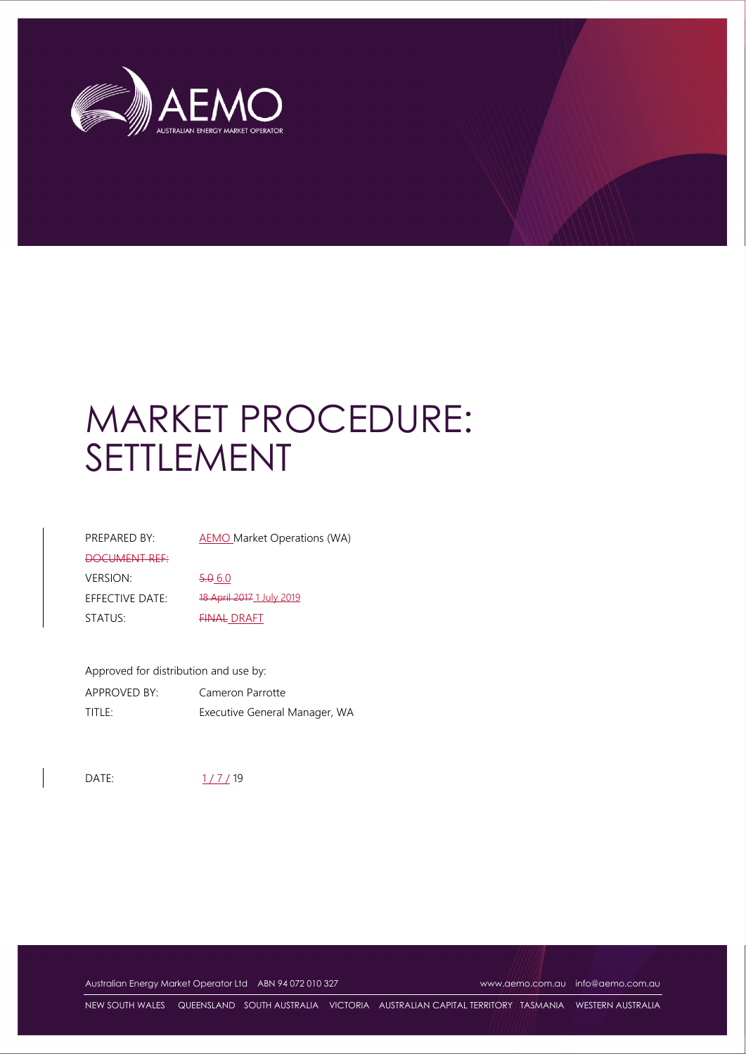

# MARKET PROCEDURE: SETTLEMENT

| PREPARED BY:    | AEMO Market Operations (WA) |
|-----------------|-----------------------------|
| DOCUMENT REF:   |                             |
| VERSION:        | $-5.060$                    |
| EFFECTIVE DATE: | 18 April 2017 1 July 2019   |
| STATUS:         | <b>FINAL DRAFT</b>          |

Approved for distribution and use by: APPROVED BY: Cameron Parrotte TITLE: Executive General Manager, WA

DATE: 1/7/19

Australian Energy Market Operator Ltd ABN 94 072 010 327 www.aemo.com.au info@aemo.com.au

NEW SOUTH WALES QUEENSLAND SOUTH AUSTRALIA VICTORIA AUSTRALIAN CAPITAL TERRITORY TASMANIA WESTERN AUSTRALIA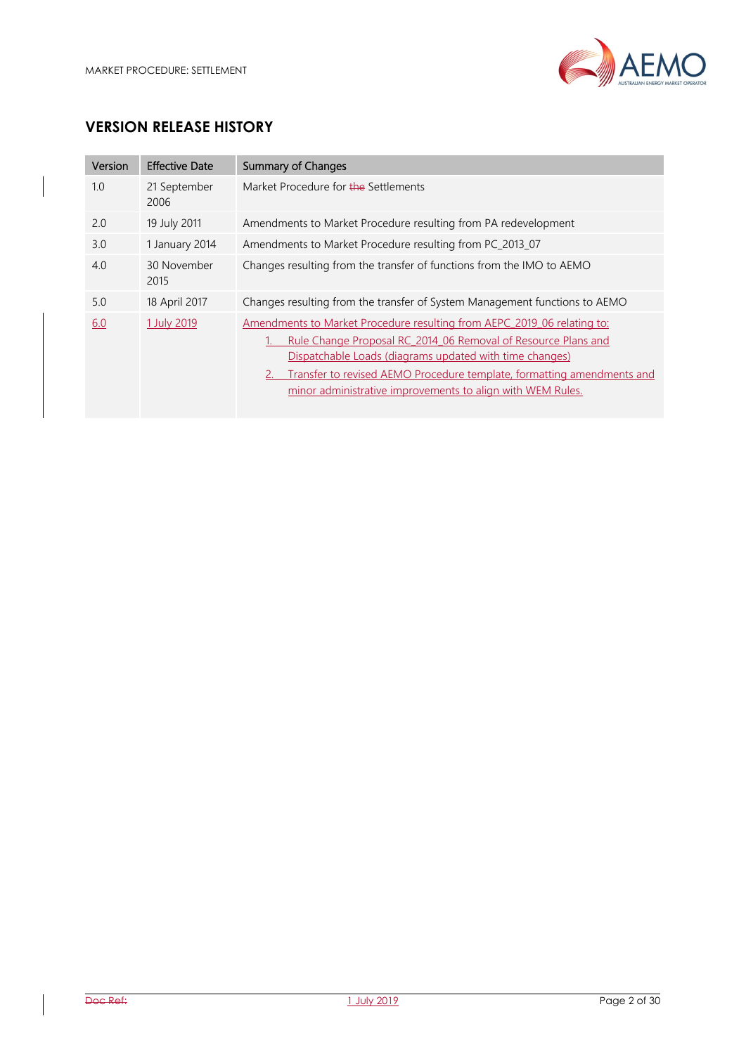

# **VERSION RELEASE HISTORY**

| Version | <b>Effective Date</b> | <b>Summary of Changes</b>                                                                                                                                                                                                                                                                                                                   |
|---------|-----------------------|---------------------------------------------------------------------------------------------------------------------------------------------------------------------------------------------------------------------------------------------------------------------------------------------------------------------------------------------|
| 1.0     | 21 September<br>2006  | Market Procedure for the Settlements                                                                                                                                                                                                                                                                                                        |
| 2.0     | 19 July 2011          | Amendments to Market Procedure resulting from PA redevelopment                                                                                                                                                                                                                                                                              |
| 3.0     | 1 January 2014        | Amendments to Market Procedure resulting from PC_2013_07                                                                                                                                                                                                                                                                                    |
| 4.0     | 30 November<br>2015   | Changes resulting from the transfer of functions from the IMO to AEMO                                                                                                                                                                                                                                                                       |
| 5.0     | 18 April 2017         | Changes resulting from the transfer of System Management functions to AEMO                                                                                                                                                                                                                                                                  |
| 6.0     | 1 July 2019           | Amendments to Market Procedure resulting from AEPC 2019 06 relating to:<br>Rule Change Proposal RC 2014 06 Removal of Resource Plans and<br>Dispatchable Loads (diagrams updated with time changes)<br>Transfer to revised AEMO Procedure template, formatting amendments and<br>minor administrative improvements to align with WEM Rules. |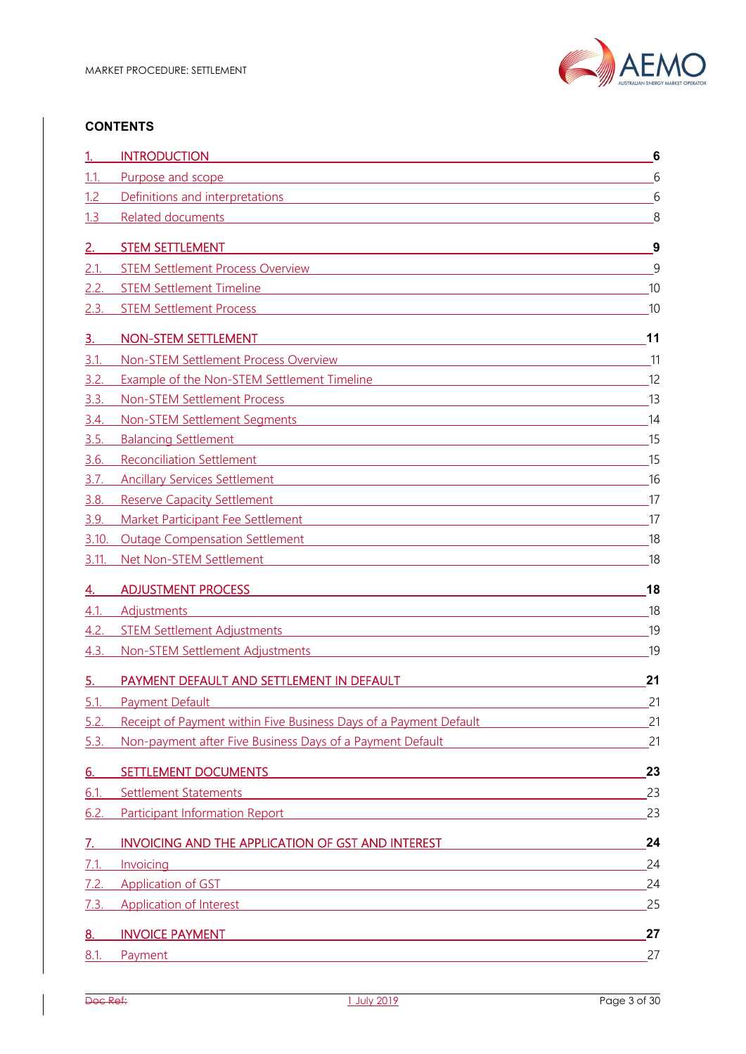

#### **CONTENTS**

|             | <b>INTRODUCTION</b><br><u> 1980 - Andrea Andrew Maria (h. 1980).</u>                                                                                                                                                                 | 6  |
|-------------|--------------------------------------------------------------------------------------------------------------------------------------------------------------------------------------------------------------------------------------|----|
| 1.1.        | Purpose and scope<br>and the control of the control of the control of the control of the control of the control of the control of the                                                                                                | 6  |
| 1.2         | Definitions and interpretations entitled and the property of the state of the state of the state of the state of the state of the state of the state of the state of the state of the state of the state of the state of the s       | 6  |
| 1.3         | <b>Related documents</b><br><u> 1980 - Jan Sterling von Berling von Berling von Berling von Berling von Berling von Berling von Berling von B</u>                                                                                    | 8  |
| 2.          | <b>STEM SETTLEMENT</b>                                                                                                                                                                                                               | 9  |
| 2.1.        | <b>STEM Settlement Process Overview</b><br><u> 1989 - Johann Stein, marwolaethau a bhann an t-Amhainn an t-Amhainn an t-Amhainn an t-Amhainn an t-Amhainn a</u>                                                                      | 9  |
| 2.2.        | STEM Settlement Timeline <b>STEM Settlement</b> Timeline                                                                                                                                                                             | 10 |
| 2.3.        | <b>STEM Settlement Process</b><br><u> 1989 - Johann Stoff, amerikansk politiker (d. 1989)</u>                                                                                                                                        | 10 |
| 3.          | <b>NON-STEM SETTLEMENT</b>                                                                                                                                                                                                           | 11 |
| 3.1         | Non-STEM Settlement Process Overview<br><u> 1989 - Johann Stoff, deutscher Stoff, der Stoff, der Stoff, der Stoff, der Stoff, der Stoff, der Stoff, der S</u>                                                                        | 11 |
| 3.2.        | Example of the Non-STEM Settlement Timeline <b>Example 2018</b> 2019 12:00:00 PM                                                                                                                                                     | 12 |
| 3.3.        | Non-STEM Settlement Process<br><u> 1980 - Johann Barn, mars ann an t-Amhain Aonaichte ann an t-Aonaichte ann an t-Aonaichte ann an t-Aonaichte a</u>                                                                                 | 13 |
| 3.4.        |                                                                                                                                                                                                                                      | 14 |
| 3.5.        | Balancing Settlement and the control of the control of the control of the control of the control of the control of the control of the control of the control of the control of the control of the control of the control of th       | 15 |
| 3.6.        | Reconciliation Settlement and the control of the control of the control of the control of the control of the control of the control of the control of the control of the control of the control of the control of the control        | 15 |
| 3.7.        | Ancillary Services Settlement and the contract of the contract of the contract of the contract of the contract of the contract of the contract of the contract of the contract of the contract of the contract of the contract       | 16 |
| 3.8.        | Reserve Capacity Settlement <b>Exercise Capacity Settlement</b>                                                                                                                                                                      | 17 |
| 3.9.        | Market Participant Fee Settlement Market Participant Fee Settlement                                                                                                                                                                  | 17 |
| 3.10.       | Outage Compensation Settlement Management Companion Companion Companion Companion                                                                                                                                                    | 18 |
| 3.11.       | Net Non-STEM Settlement Network and the state of the state of the state of the state of the state of the state of the state of the state of the state of the state of the state of the state of the state of the state of the        | 18 |
| 4.          | <b>ADJUSTMENT PROCESS</b>                                                                                                                                                                                                            | 18 |
| 4.1.        | <b>Adjustments</b><br><u> 1989 - Johann Stoff, amerikansk politiker (* 1908)</u>                                                                                                                                                     | 18 |
| 4.2.        | STEM Settlement Adjustments and the control of the state of the state of the state of the state of the state of the state of the state of the state of the state of the state of the state of the state of the state of the st       | 19 |
| 4.3.        | Non-STEM Settlement Adjustments and the state of the state of the state of the state of the state of the state of the state of the state of the state of the state of the state of the state of the state of the state of the        | 19 |
| 5.          | PAYMENT DEFAULT AND SETTLEMENT IN DEFAULT                                                                                                                                                                                            | 21 |
| <u>5.1.</u> | <b>Payment Default</b>                                                                                                                                                                                                               | 21 |
| 5.2.        | Receipt of Payment within Five Business Days of a Payment Default                                                                                                                                                                    | 21 |
| 5.3.        | Non-payment after Five Business Days of a Payment Default                                                                                                                                                                            | 21 |
| <u>6.</u>   | <b>SETTLEMENT DOCUMENTS</b><br><u> 1989 - Johann Stein, marwolaethau a bhann an t-Albann an t-Albann an t-Albann an t-Albann an t-Albann an t-Al</u>                                                                                 | 23 |
| 6.1.        | <b>Settlement Statements</b><br><u> 1980 - Johann Stoff, fransk politik (f. 1980)</u>                                                                                                                                                | 23 |
| 6.2.        | Participant Information Report <b>Executive Contract Contract Contract Contract Contract Contract Contract Contract Contract Contract Contract Contract Contract Contract Contract Contract Contract Contract Contract Contract </b> | 23 |
| 7.          | INVOICING AND THE APPLICATION OF GST AND INTEREST                                                                                                                                                                                    | 24 |
| 7.1.        | Invoicing<br><u> 1989 - Johann Barn, mars ann an t-Amhain Aonaichte ann an t-Aonaichte ann an t-Aonaichte ann an t-Aonaichte a</u>                                                                                                   | 24 |
| 7.2.        | <b>Application of GST</b><br><u> 1989 - Johann Stoff, amerikansk politiker (d. 1989)</u>                                                                                                                                             | 24 |
| 7.3.        | Application of Interest <b>Application</b> of Interest <b>Application Application Application Application Application Application Application Application Application Application Application Application App</b>                    | 25 |
| <u>8.</u>   | <b>INVOICE PAYMENT</b><br><u> 1989 - Johann Stoff, amerikansk politiker (d. 1989)</u>                                                                                                                                                | 27 |
| $8.1$ .     | <b>Payment</b><br><u> 1989 - John Stein, Amerikaansk politiker († 1908)</u>                                                                                                                                                          | 27 |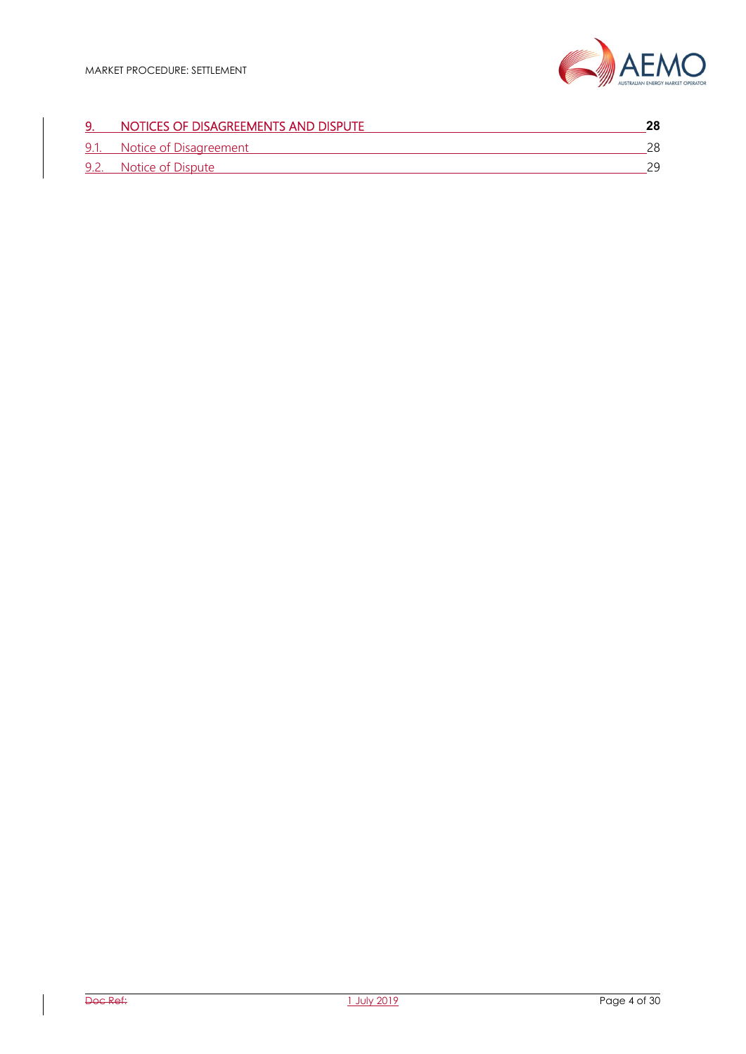

# 9. NOTICES OF DISAGREEMENTS AND DISPUTE **28** 9.1. Notice of Disagreement 28 9.2. Notice of Dispute 29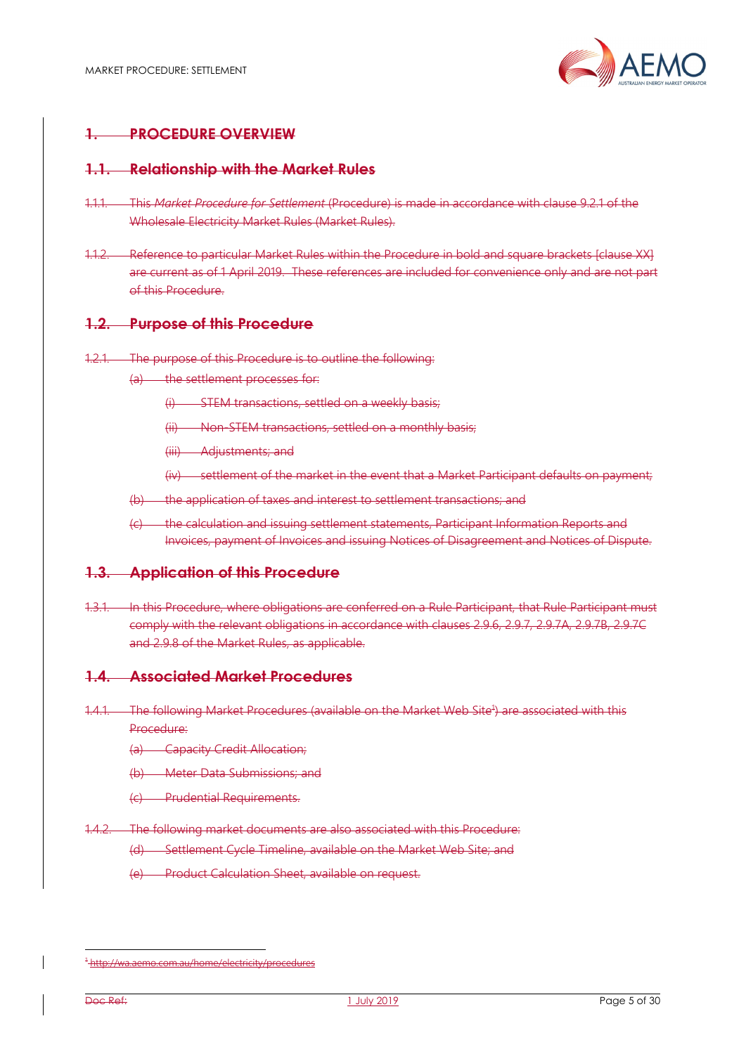

## **1. PROCEDURE OVERVIEW**

#### **1.1. Relationship with the Market Rules**

- 1.1.1. This *Market Procedure for Settlement* (Procedure) is made in accordance with clause 9.2.1 of the Wholesale Electricity Market Rules (Market Rules).
- 1.1.2. Reference to particular Market Rules within the Procedure in bold and square brackets [clause XX] are current as of 1 April 2019. These references are included for convenience only and are not part of this Procedure.

#### **1.2. Purpose of this Procedure**

- 1.2.1. The purpose of this Procedure is to outline the following:
	- (a) the settlement processes for:
		- (i) STEM transactions, settled on a weekly basis;
		- (ii) Non-STEM transactions, settled on a monthly basis;
		- (iii) Adjustments; and
		- (iv) settlement of the market in the event that a Market Participant defaults on payment;
	- (b) the application of taxes and interest to settlement transactions; and
	- (c) the calculation and issuing settlement statements, Participant Information Reports and Invoices, payment of Invoices and issuing Notices of Disagreement and Notices of Dispute.

#### **1.3. Application of this Procedure**

1.3.1. In this Procedure, where obligations are conferred on a Rule Participant, that Rule Participant must comply with the relevant obligations in accordance with clauses 2.9.6, 2.9.7, 2.9.7A, 2.9.7B, 2.9.7C and 2.9.8 of the Market Rules, as applicable.

#### **1.4. Associated Market Procedures**

- 1.4.1. The following Market Procedures (available on the Market Web Site<sup>4</sup>) are associated with this Procedure:
	- (a) Capacity Credit Allocation;
	- (b) Meter Data Submissions; and
	- (c) Prudential Requirements.
- 1.4.2. The following market documents are also associated with this Procedure:
	- (d) Settlement Cycle Timeline, available on the Market Web Site; and
	- (e) Product Calculation Sheet, available on request.

l

<sup>1</sup> http://wa.aemo.com.au/home/electricity/procedures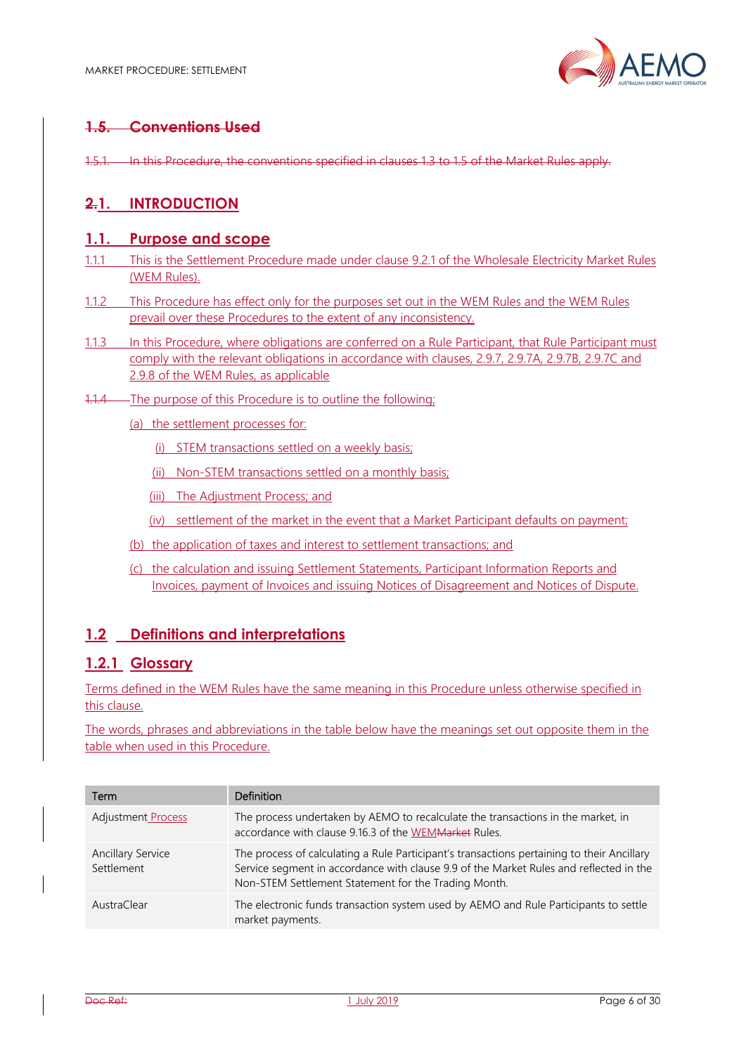

# **1.5. Conventions Used**

1.5.1. In this Procedure, the conventions specified in clauses 1.3 to 1.5 of the Market Rules apply.

## **2.1. INTRODUCTION**

#### **1.1. Purpose and scope**

- 1.1.1 This is the Settlement Procedure made under clause 9.2.1 of the Wholesale Electricity Market Rules (WEM Rules).
- 1.1.2 This Procedure has effect only for the purposes set out in the WEM Rules and the WEM Rules prevail over these Procedures to the extent of any inconsistency.
- 1.1.3 In this Procedure, where obligations are conferred on a Rule Participant, that Rule Participant must comply with the relevant obligations in accordance with clauses, 2.9.7, 2.9.7A, 2.9.7B, 2.9.7C and 2.9.8 of the WEM Rules, as applicable
- 1.1.4 The purpose of this Procedure is to outline the following;
	- (a) the settlement processes for:
		- (i) STEM transactions settled on a weekly basis;
		- (ii) Non-STEM transactions settled on a monthly basis;
		- (iii) The Adjustment Process; and
		- (iv) settlement of the market in the event that a Market Participant defaults on payment;
	- (b) the application of taxes and interest to settlement transactions; and
	- (c) the calculation and issuing Settlement Statements, Participant Information Reports and Invoices, payment of Invoices and issuing Notices of Disagreement and Notices of Dispute.

#### **1.2 Definitions and interpretations**

## **1.2.1 Glossary**

Terms defined in the WEM Rules have the same meaning in this Procedure unless otherwise specified in this clause.

The words, phrases and abbreviations in the table below have the meanings set out opposite them in the table when used in this Procedure.

| Term                                   | Definition                                                                                                                                                                                                                                   |
|----------------------------------------|----------------------------------------------------------------------------------------------------------------------------------------------------------------------------------------------------------------------------------------------|
| Adjustment Process                     | The process undertaken by AEMO to recalculate the transactions in the market, in<br>accordance with clause 9.16.3 of the WEM Market Rules.                                                                                                   |
| <b>Ancillary Service</b><br>Settlement | The process of calculating a Rule Participant's transactions pertaining to their Ancillary<br>Service segment in accordance with clause 9.9 of the Market Rules and reflected in the<br>Non-STEM Settlement Statement for the Trading Month. |
| AustraClear                            | The electronic funds transaction system used by AEMO and Rule Participants to settle<br>market payments.                                                                                                                                     |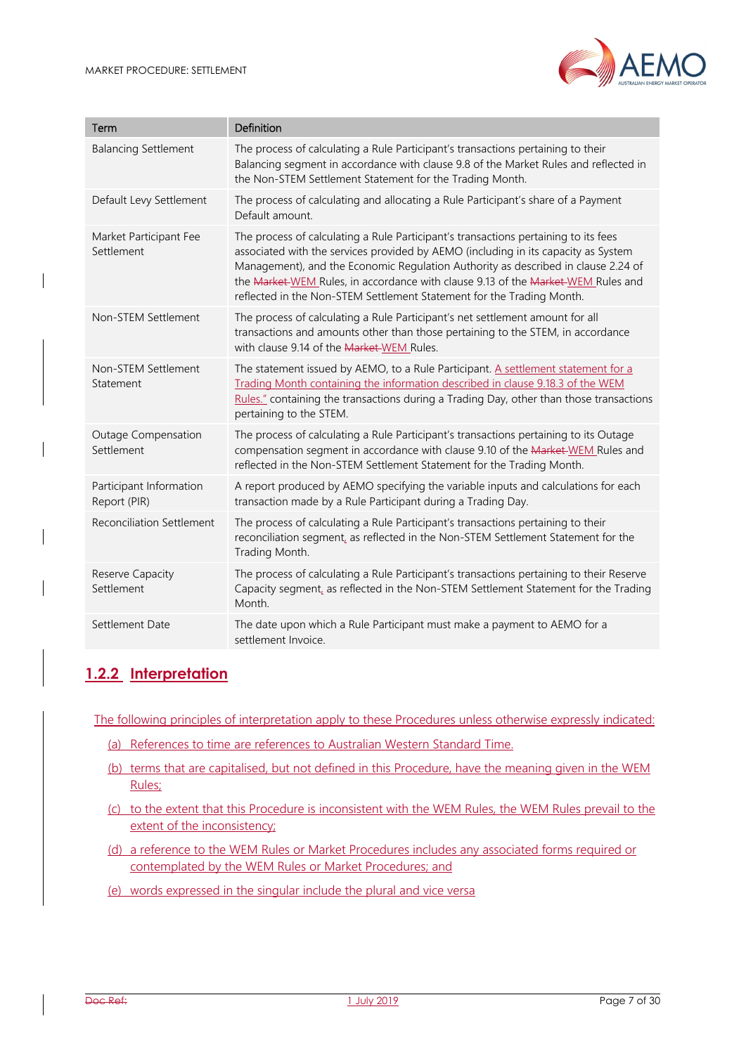

| Term                                    | Definition                                                                                                                                                                                                                                                                                                                                                                                                                  |
|-----------------------------------------|-----------------------------------------------------------------------------------------------------------------------------------------------------------------------------------------------------------------------------------------------------------------------------------------------------------------------------------------------------------------------------------------------------------------------------|
| <b>Balancing Settlement</b>             | The process of calculating a Rule Participant's transactions pertaining to their<br>Balancing segment in accordance with clause 9.8 of the Market Rules and reflected in<br>the Non-STEM Settlement Statement for the Trading Month.                                                                                                                                                                                        |
| Default Levy Settlement                 | The process of calculating and allocating a Rule Participant's share of a Payment<br>Default amount.                                                                                                                                                                                                                                                                                                                        |
| Market Participant Fee<br>Settlement    | The process of calculating a Rule Participant's transactions pertaining to its fees<br>associated with the services provided by AEMO (including in its capacity as System<br>Management), and the Economic Regulation Authority as described in clause 2.24 of<br>the Market-WEM Rules, in accordance with clause 9.13 of the Market-WEM Rules and<br>reflected in the Non-STEM Settlement Statement for the Trading Month. |
| Non-STEM Settlement                     | The process of calculating a Rule Participant's net settlement amount for all<br>transactions and amounts other than those pertaining to the STEM, in accordance<br>with clause 9.14 of the Market-WEM Rules.                                                                                                                                                                                                               |
| Non-STEM Settlement<br>Statement        | The statement issued by AEMO, to a Rule Participant. A settlement statement for a<br>Trading Month containing the information described in clause 9.18.3 of the WEM<br>Rules." containing the transactions during a Trading Day, other than those transactions<br>pertaining to the STEM.                                                                                                                                   |
| Outage Compensation<br>Settlement       | The process of calculating a Rule Participant's transactions pertaining to its Outage<br>compensation segment in accordance with clause 9.10 of the Market-WEM Rules and<br>reflected in the Non-STEM Settlement Statement for the Trading Month.                                                                                                                                                                           |
| Participant Information<br>Report (PIR) | A report produced by AEMO specifying the variable inputs and calculations for each<br>transaction made by a Rule Participant during a Trading Day.                                                                                                                                                                                                                                                                          |
| <b>Reconciliation Settlement</b>        | The process of calculating a Rule Participant's transactions pertaining to their<br>reconciliation segment, as reflected in the Non-STEM Settlement Statement for the<br>Trading Month.                                                                                                                                                                                                                                     |
| Reserve Capacity<br>Settlement          | The process of calculating a Rule Participant's transactions pertaining to their Reserve<br>Capacity segment, as reflected in the Non-STEM Settlement Statement for the Trading<br>Month.                                                                                                                                                                                                                                   |
| Settlement Date                         | The date upon which a Rule Participant must make a payment to AEMO for a<br>settlement Invoice.                                                                                                                                                                                                                                                                                                                             |

# **1.2.2 Interpretation**

The following principles of interpretation apply to these Procedures unless otherwise expressly indicated:

- (a) References to time are references to Australian Western Standard Time.
- (b) terms that are capitalised, but not defined in this Procedure, have the meaning given in the WEM Rules;
- (c) to the extent that this Procedure is inconsistent with the WEM Rules, the WEM Rules prevail to the extent of the inconsistency;
- (d) a reference to the WEM Rules or Market Procedures includes any associated forms required or contemplated by the WEM Rules or Market Procedures; and
- (e) words expressed in the singular include the plural and vice versa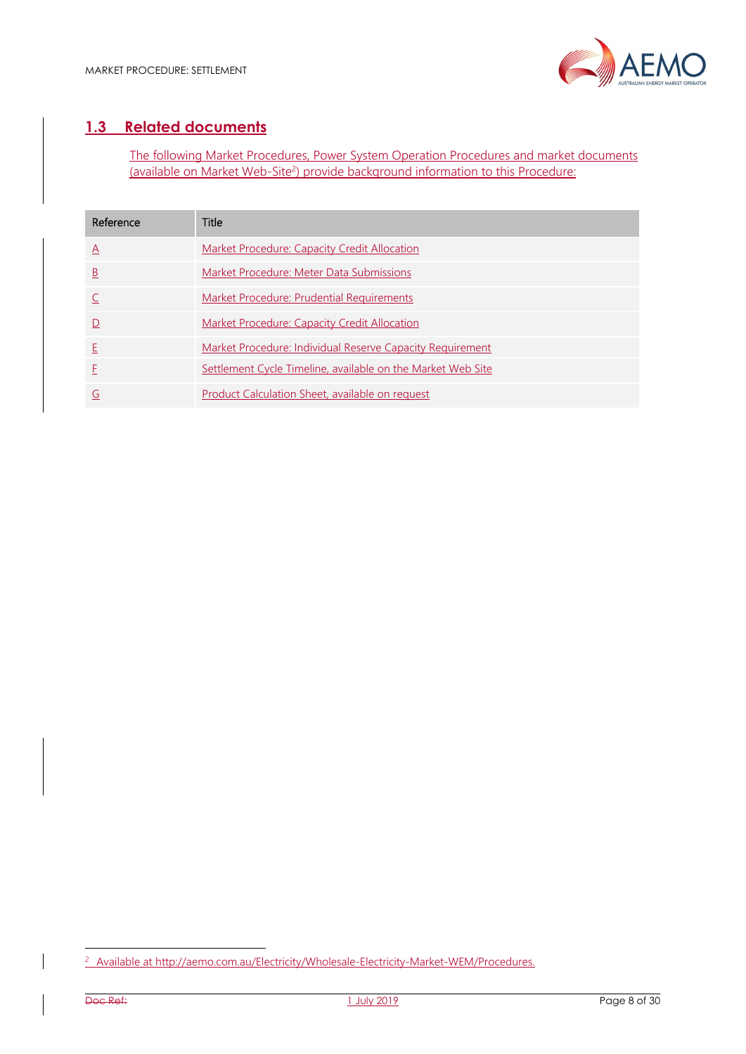

# **1.3 Related documents**

The following Market Procedures, Power System Operation Procedures and market documents (available on Market Web-Site<sup>2</sup>) provide background information to this Procedure:

| Reference               | Title                                                       |
|-------------------------|-------------------------------------------------------------|
| $\mathsf{A}$            | Market Procedure: Capacity Credit Allocation                |
| $\overline{\mathsf{B}}$ | Market Procedure: Meter Data Submissions                    |
|                         | Market Procedure: Prudential Requirements                   |
| $\mathsf{D}$            | Market Procedure: Capacity Credit Allocation                |
| E                       | Market Procedure: Individual Reserve Capacity Requirement   |
|                         | Settlement Cycle Timeline, available on the Market Web Site |
| G                       | Product Calculation Sheet, available on request             |

l

<sup>&</sup>lt;sup>2</sup> Available at http://aemo.com.au/Electricity/Wholesale-Electricity-Market-WEM/Procedures.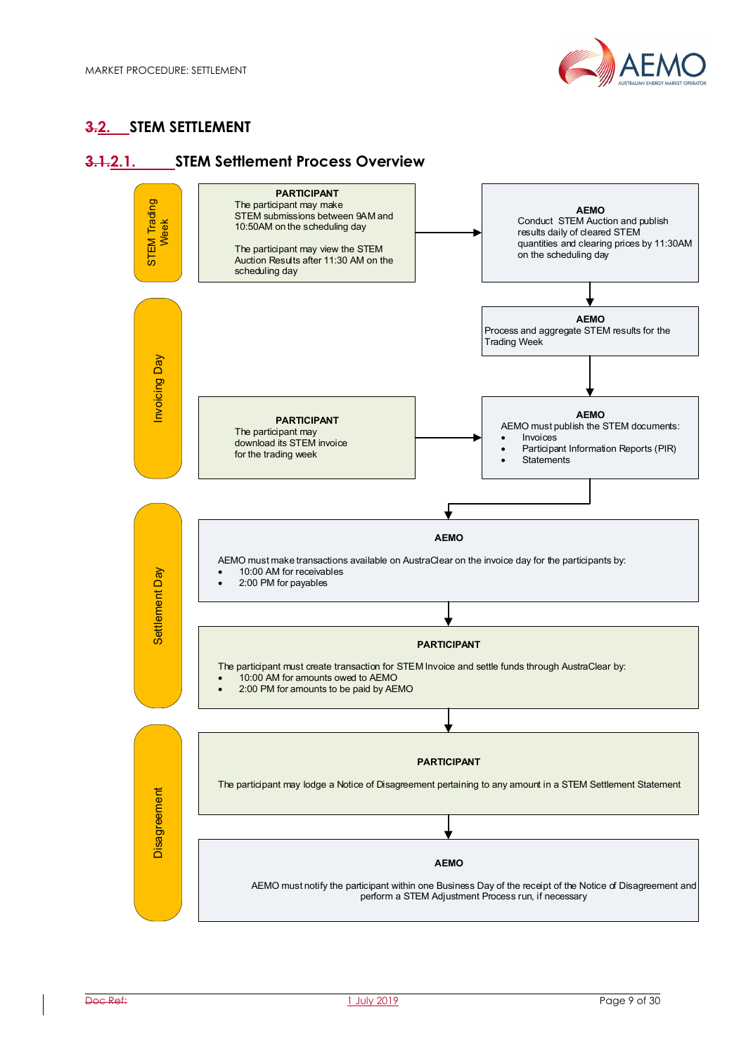

# **3.2. STEM SETTLEMENT**

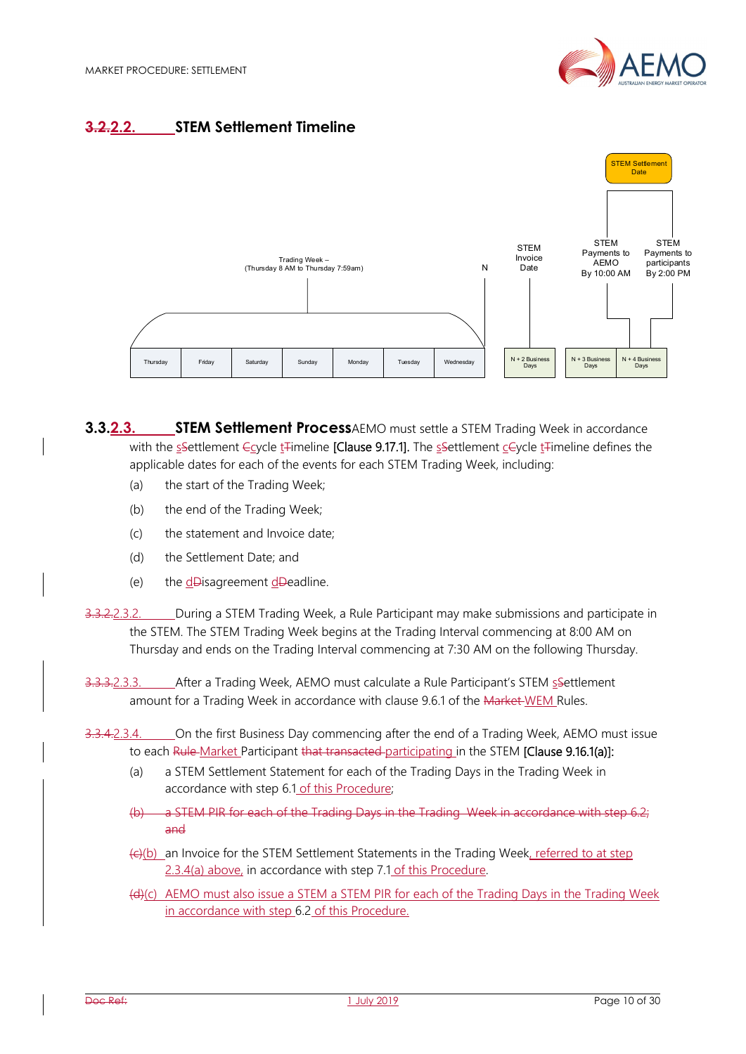

# **3.2.2.2. STEM Settlement Timeline**



**3.3.2.3. STEM Settlement Process**AEMO must settle a STEM Trading Week in accordance with the sSettlement Ccycle t<sub>Himeline</sub> [Clause 9.17.1]. The sSettlement cCycle t<sub>Himeline</sub> defines the applicable dates for each of the events for each STEM Trading Week, including:

- (a) the start of the Trading Week;
- (b) the end of the Trading Week;
- (c) the statement and Invoice date;
- (d) the Settlement Date; and
- (e) the  $d$ Disagreement  $d$ Deadline.
- 3.3.2.2.3.2. During a STEM Trading Week, a Rule Participant may make submissions and participate in the STEM. The STEM Trading Week begins at the Trading Interval commencing at 8:00 AM on Thursday and ends on the Trading Interval commencing at 7:30 AM on the following Thursday.
- 3.3.3.2.3.3. After a Trading Week, AEMO must calculate a Rule Participant's STEM ssettlement amount for a Trading Week in accordance with clause 9.6.1 of the Market WEM Rules.
- 3.3.4.2.3.4. On the first Business Day commencing after the end of a Trading Week, AEMO must issue to each Rule-Market Participant that transacted participating in the STEM **[Clause 9.16.1(a)]:** 
	- (a) a STEM Settlement Statement for each of the Trading Days in the Trading Week in accordance with step 6.1 of this Procedure;
	- (b) a STEM PIR for each of the Trading Days in the Trading Week in accordance with step 6.2; and
	- $\left\langle \epsilon \right\rangle$ (b) an Invoice for the STEM Settlement Statements in the Trading Week, referred to at step 2.3.4(a) above, in accordance with step 7.1 of this Procedure.
	- (d)(c) AEMO must also issue a STEM a STEM PIR for each of the Trading Days in the Trading Week in accordance with step 6.2 of this Procedure.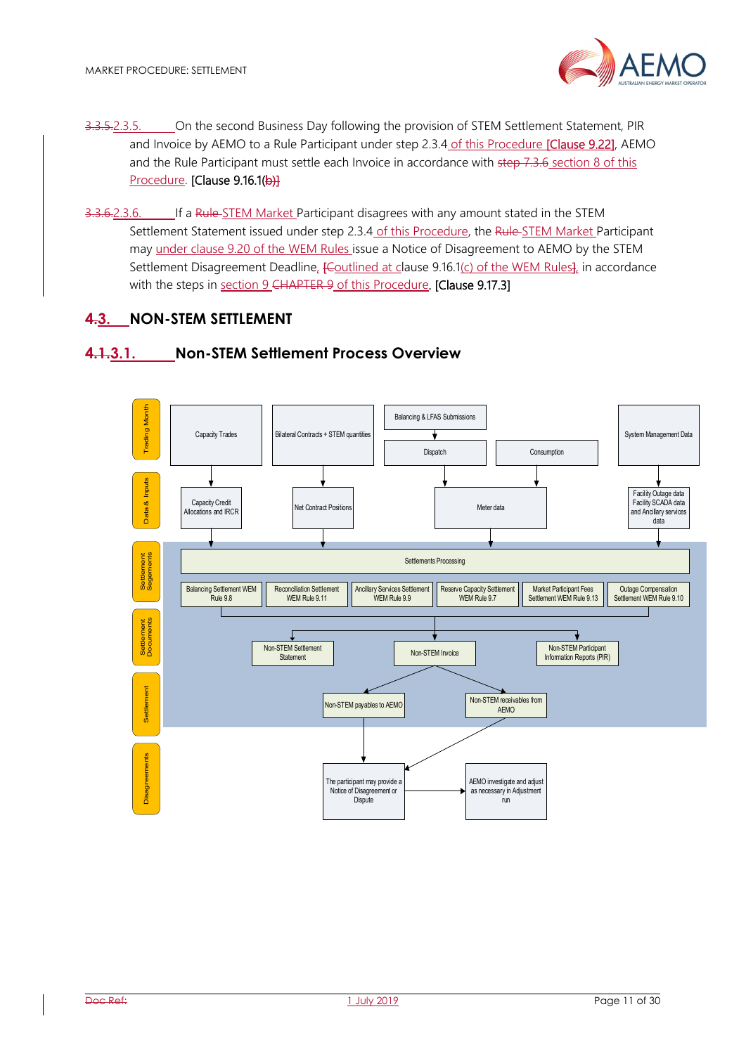- 3.3.5.2.3.5. On the second Business Day following the provision of STEM Settlement Statement, PIR and Invoice by AEMO to a Rule Participant under step 2.3.4 of this Procedure [Clause 9.22], AEMO and the Rule Participant must settle each Invoice in accordance with step 7.3.6 section 8 of this Procedure. [Clause 9.16.1(b)]
- 3.3.6.2.3.6. If a Rule-STEM Market Participant disagrees with any amount stated in the STEM Settlement Statement issued under step 2.3.4 of this Procedure, the Rule-STEM Market Participant may under clause 9.20 of the WEM Rules issue a Notice of Disagreement to AEMO by the STEM Settlement Disagreement Deadline, *[Coutlined at clause 9.16.1(c)* of the WEM Rules], in accordance with the steps in section 9 CHAPTER 9 of this Procedure. [Clause 9.17.3]

## **4.3. NON-STEM SETTLEMENT**

#### **4.1.3.1. Non-STEM Settlement Process Overview**

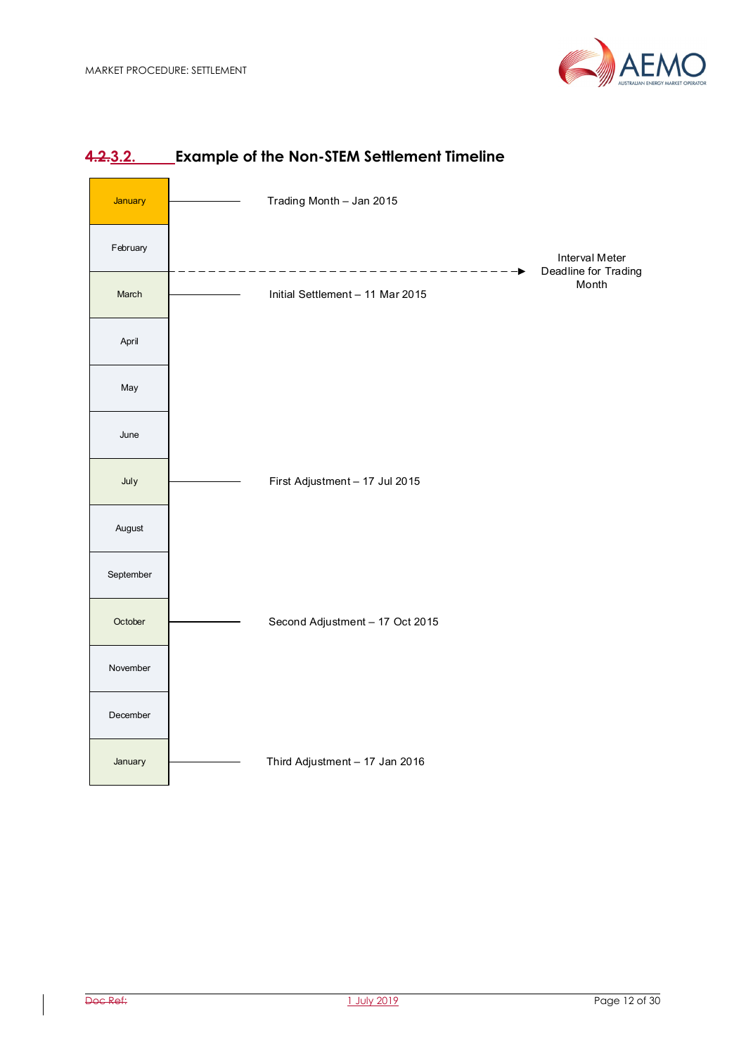



## **4.2.3.2. Example of the Non-STEM Settlement Timeline**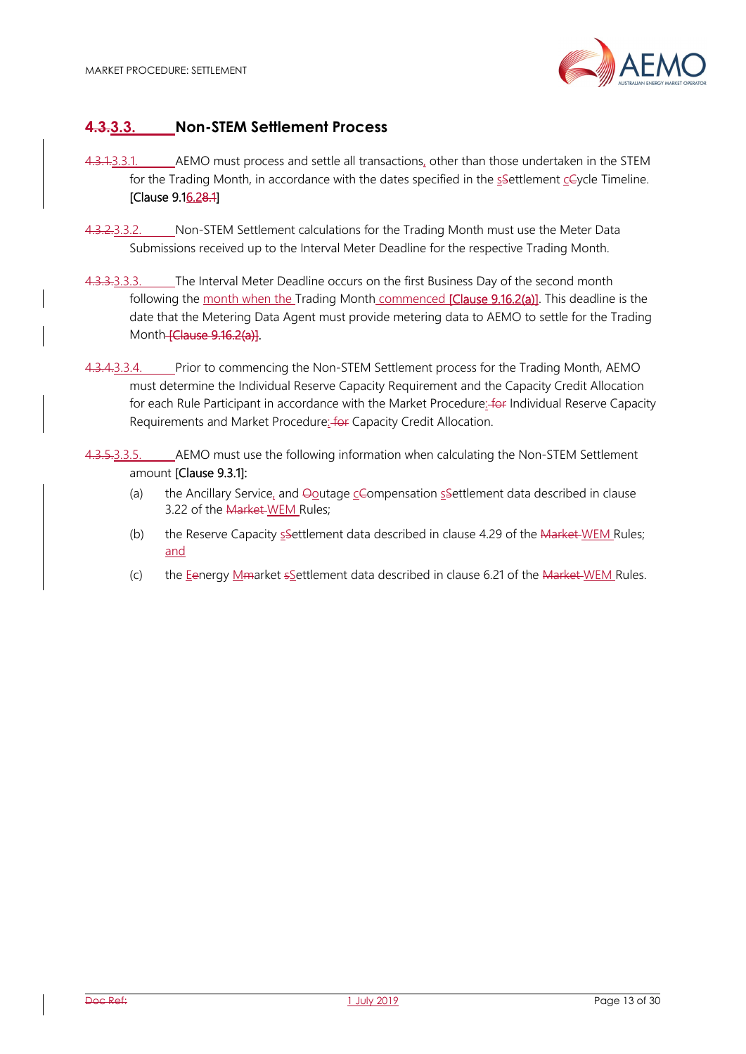

# **4.3.3.3. Non-STEM Settlement Process**

- 4.3.1.3.3.1. AEMO must process and settle all transactions, other than those undertaken in the STEM for the Trading Month, in accordance with the dates specified in the  $s$ -Settlement  $c$ -Cycle Timeline. [Clause 9.16.28.1]
- 4.3.2.3.3.2. Non-STEM Settlement calculations for the Trading Month must use the Meter Data Submissions received up to the Interval Meter Deadline for the respective Trading Month.
- 4.3.3.3.3.3. The Interval Meter Deadline occurs on the first Business Day of the second month following the month when the Trading Month commenced [Clause 9.16.2(a)]. This deadline is the date that the Metering Data Agent must provide metering data to AEMO to settle for the Trading Month-**[Clause 9.16.2(a)]**.
- 4.3.4.3.3.4. Prior to commencing the Non-STEM Settlement process for the Trading Month, AEMO must determine the Individual Reserve Capacity Requirement and the Capacity Credit Allocation for each Rule Participant in accordance with the Market Procedure: for Individual Reserve Capacity Requirements and Market Procedure: for Capacity Credit Allocation.
- 4.3.5.3.3.5. AEMO must use the following information when calculating the Non-STEM Settlement amount [Clause 9.3.1]:
	- (a) the Ancillary Service, and  $\Theta$ outage  $\subseteq$  Compensation ssettlement data described in clause 3.22 of the Market WEM Rules;
	- (b) the Reserve Capacity  $s$ -Settlement data described in clause 4.29 of the Market-WEM Rules; and
	- (c) the Eenergy Mmarket  $s$ Settlement data described in clause 6.21 of the Market WEM Rules.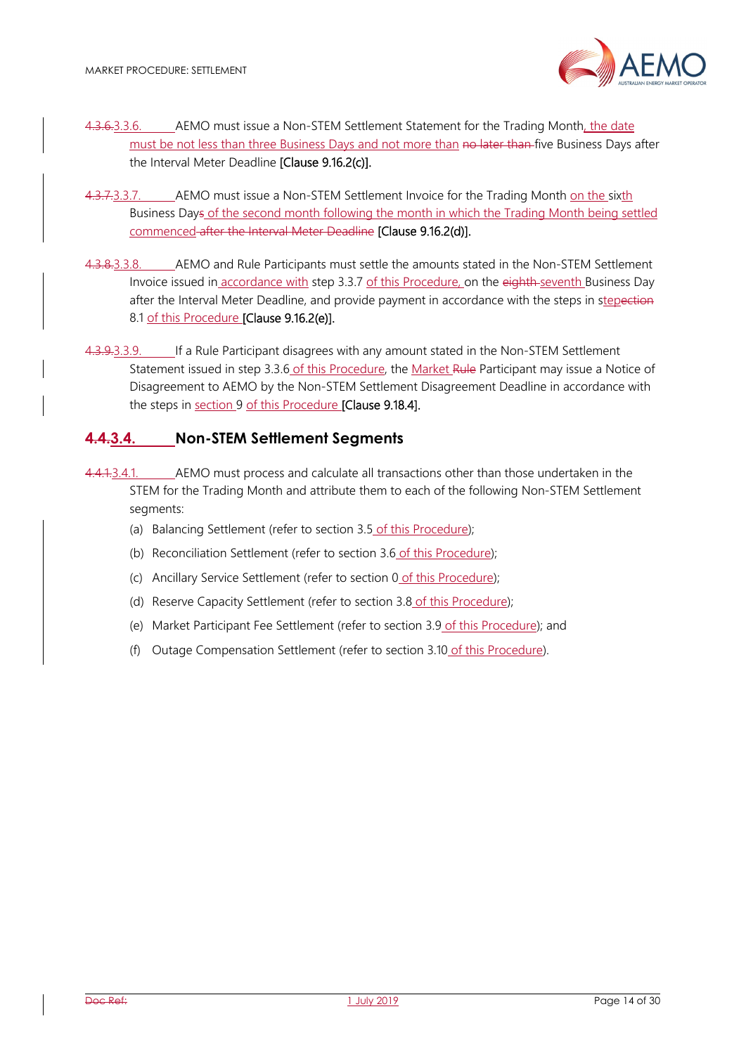

- 4.3.6.3.3.6. AEMO must issue a Non-STEM Settlement Statement for the Trading Month, the date must be not less than three Business Days and not more than no later than five Business Days after the Interval Meter Deadline [Clause 9.16.2(c)].
- 4.3.7.3.3.7. AEMO must issue a Non-STEM Settlement Invoice for the Trading Month on the sixth Business Days of the second month following the month in which the Trading Month being settled commenced after the Interval Meter Deadline [Clause 9.16.2(d)].
- 4.3.8.3.3.8. AEMO and Rule Participants must settle the amounts stated in the Non-STEM Settlement Invoice issued in accordance with step 3.3.7 of this Procedure, on the eighth-seventh Business Day after the Interval Meter Deadline, and provide payment in accordance with the steps in stepection 8.1 of this Procedure [Clause 9.16.2(e)].
- 4.3.9.3.3.9. If a Rule Participant disagrees with any amount stated in the Non-STEM Settlement Statement issued in step 3.3.6 of this Procedure, the Market Rule Participant may issue a Notice of Disagreement to AEMO by the Non-STEM Settlement Disagreement Deadline in accordance with the steps in section 9 of this Procedure [Clause 9.18.4].

# **4.4.3.4. Non-STEM Settlement Segments**

- 4.4.1.3.4.1. AEMO must process and calculate all transactions other than those undertaken in the STEM for the Trading Month and attribute them to each of the following Non-STEM Settlement segments:
	- (a) Balancing Settlement (refer to section 3.5 of this Procedure);
	- (b) Reconciliation Settlement (refer to section 3.6 of this Procedure);
	- (c) Ancillary Service Settlement (refer to section 0 of this Procedure);
	- (d) Reserve Capacity Settlement (refer to section 3.8 of this Procedure);
	- (e) Market Participant Fee Settlement (refer to section 3.9 of this Procedure); and
	- (f) Outage Compensation Settlement (refer to section 3.10 of this Procedure).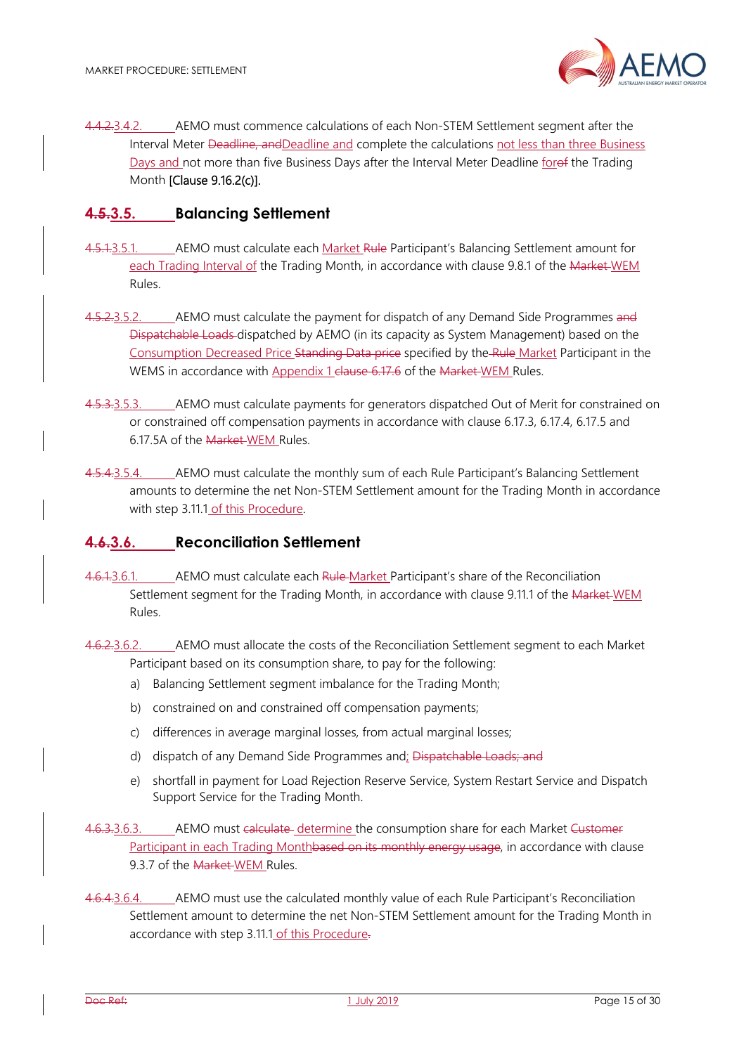4.4.2.3.4.2. AEMO must commence calculations of each Non-STEM Settlement segment after the Interval Meter Deadline, andDeadline and complete the calculations not less than three Business Days and not more than five Business Days after the Interval Meter Deadline forof the Trading Month [Clause 9.16.2(c)].

#### **4.5.3.5. Balancing Settlement**

- 4.5.1.3.5.1. AEMO must calculate each Market Rule Participant's Balancing Settlement amount for each Trading Interval of the Trading Month, in accordance with clause 9.8.1 of the Market WEM Rules.
- 4.5.2.3.5.2. AEMO must calculate the payment for dispatch of any Demand Side Programmes and Dispatchable Loads dispatched by AEMO (in its capacity as System Management) based on the Consumption Decreased Price Standing Data price specified by the Rule Market Participant in the WEMS in accordance with Appendix 1 clause 6.17.6 of the Market WEM Rules.
- 4.5.3.3.5.3. AEMO must calculate payments for generators dispatched Out of Merit for constrained on or constrained off compensation payments in accordance with clause 6.17.3, 6.17.4, 6.17.5 and 6.17.5A of the Market WEM Rules.
- 4.5.4.3.5.4. AEMO must calculate the monthly sum of each Rule Participant's Balancing Settlement amounts to determine the net Non-STEM Settlement amount for the Trading Month in accordance with step 3.11.1 of this Procedure.

#### **4.6.3.6. Reconciliation Settlement**

- 4.6.1.3.6.1. AEMO must calculate each Rule Market Participant's share of the Reconciliation Settlement segment for the Trading Month, in accordance with clause 9.11.1 of the Market WEM Rules.
- 4.6.2.3.6.2. AEMO must allocate the costs of the Reconciliation Settlement segment to each Market Participant based on its consumption share, to pay for the following:
	- a) Balancing Settlement segment imbalance for the Trading Month;
	- b) constrained on and constrained off compensation payments;
	- c) differences in average marginal losses, from actual marginal losses;
	- d) dispatch of any Demand Side Programmes and; Dispatchable Loads; and
	- e) shortfall in payment for Load Rejection Reserve Service, System Restart Service and Dispatch Support Service for the Trading Month.
- 4.6.3.3.6.3. AEMO must calculate determine the consumption share for each Market Customer Participant in each Trading Monthbased on its monthly energy usage, in accordance with clause 9.3.7 of the Market-WEM Rules.
- 4.6.4.3.6.4. AEMO must use the calculated monthly value of each Rule Participant's Reconciliation Settlement amount to determine the net Non-STEM Settlement amount for the Trading Month in accordance with step 3.11.1 of this Procedure.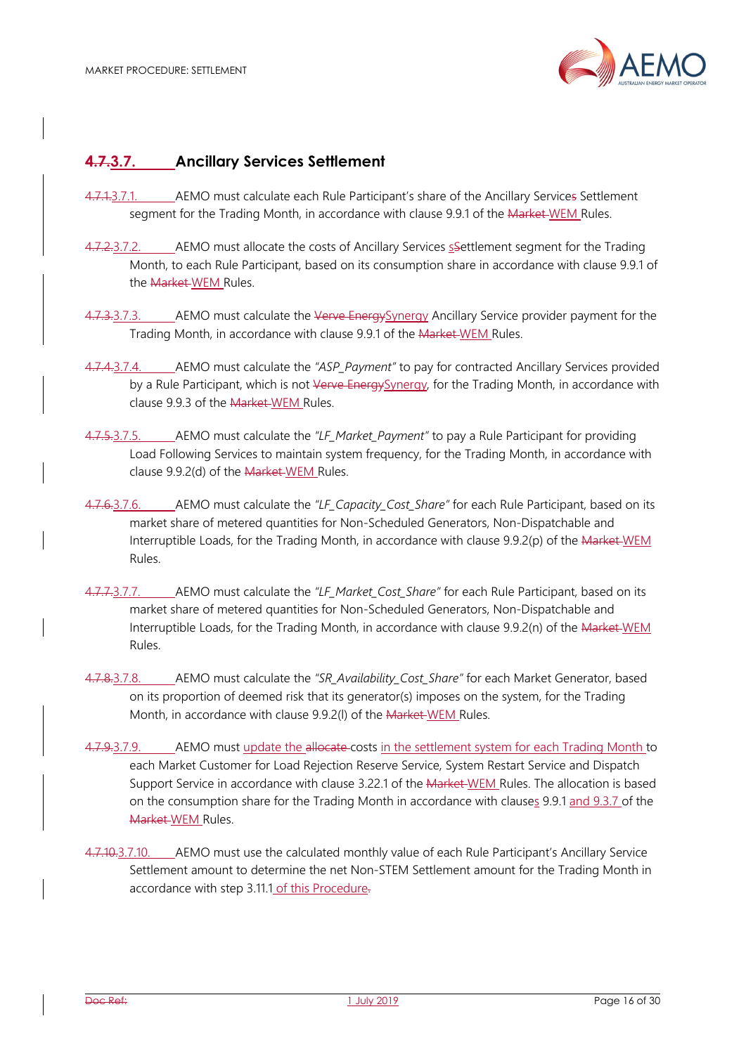

# **4.7.3.7. Ancillary Services Settlement**

- 4.7.4.3.7.1. AEMO must calculate each Rule Participant's share of the Ancillary Services Settlement segment for the Trading Month, in accordance with clause 9.9.1 of the Market-WEM Rules.
- 4.7.2.3.7.2. AEMO must allocate the costs of Ancillary Services s Settlement segment for the Trading Month, to each Rule Participant, based on its consumption share in accordance with clause 9.9.1 of the Market WEM Rules.
- 4.7.3.7.3. AEMO must calculate the Verve Energy Synergy Ancillary Service provider payment for the Trading Month, in accordance with clause 9.9.1 of the Market WEM Rules.
- 4.7.4.3.7.4. AEMO must calculate the *"ASP\_Payment"* to pay for contracted Ancillary Services provided by a Rule Participant, which is not Verve Energy Synergy, for the Trading Month, in accordance with clause 9.9.3 of the Market-WEM Rules.
- 4.7.5.3.7.5. AEMO must calculate the *"LF\_Market\_Payment"* to pay a Rule Participant for providing Load Following Services to maintain system frequency, for the Trading Month, in accordance with clause 9.9.2(d) of the Market WEM Rules.
- 4.7.6.3.7.6. AEMO must calculate the "LF Capacity Cost Share" for each Rule Participant, based on its market share of metered quantities for Non-Scheduled Generators, Non-Dispatchable and Interruptible Loads, for the Trading Month, in accordance with clause 9.9.2(p) of the Market WEM Rules.
- 4.7.7.3.7.7. AEMO must calculate the *"LF\_Market\_Cost\_Share"* for each Rule Participant, based on its market share of metered quantities for Non-Scheduled Generators, Non-Dispatchable and Interruptible Loads, for the Trading Month, in accordance with clause 9.9.2(n) of the Market WEM Rules.
- 4.7.8.3.7.8. AEMO must calculate the *"SR\_Availability\_Cost\_Share"* for each Market Generator, based on its proportion of deemed risk that its generator(s) imposes on the system, for the Trading Month, in accordance with clause 9.9.2(I) of the Market WEM Rules.
- 4.7.9.3.7.9. AEMO must update the allocate-costs in the settlement system for each Trading Month to each Market Customer for Load Rejection Reserve Service, System Restart Service and Dispatch Support Service in accordance with clause 3.22.1 of the Market-WEM Rules. The allocation is based on the consumption share for the Trading Month in accordance with clauses 9.9.1 and 9.3.7 of the Market WEM Rules.
- 4.7.10.3.7.10. AEMO must use the calculated monthly value of each Rule Participant's Ancillary Service Settlement amount to determine the net Non-STEM Settlement amount for the Trading Month in accordance with step 3.11.1 of this Procedure.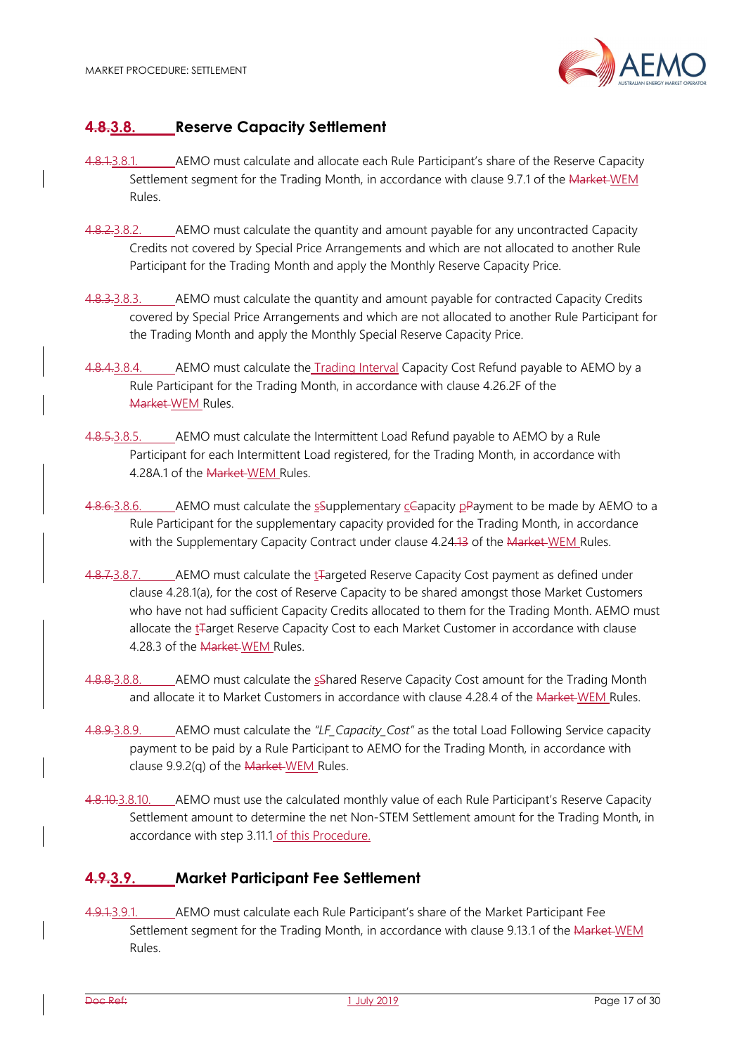

## **4.8.3.8. Reserve Capacity Settlement**

- 4.8.1.3.8.1. AEMO must calculate and allocate each Rule Participant's share of the Reserve Capacity Settlement segment for the Trading Month, in accordance with clause 9.7.1 of the Market WEM Rules.
- 4.8.2.3.8.2. \_\_\_\_\_ AEMO must calculate the quantity and amount payable for any uncontracted Capacity Credits not covered by Special Price Arrangements and which are not allocated to another Rule Participant for the Trading Month and apply the Monthly Reserve Capacity Price.
- 4.8.3.3.8.3. AEMO must calculate the quantity and amount payable for contracted Capacity Credits covered by Special Price Arrangements and which are not allocated to another Rule Participant for the Trading Month and apply the Monthly Special Reserve Capacity Price.
- 4.8.4.3.8.4. AEMO must calculate the Trading Interval Capacity Cost Refund payable to AEMO by a Rule Participant for the Trading Month, in accordance with clause 4.26.2F of the Market WEM Rules.
- 4.8.5.3.8.5. AEMO must calculate the Intermittent Load Refund payable to AEMO by a Rule Participant for each Intermittent Load registered, for the Trading Month, in accordance with 4.28A.1 of the Market WEM Rules.
- 4.8.6.3.8.6. AEMO must calculate the  $\frac{1}{2}$ Supplementary  $\frac{1}{2}$ Cepacity  $\frac{1}{2}$ Payment to be made by AEMO to a Rule Participant for the supplementary capacity provided for the Trading Month, in accordance with the Supplementary Capacity Contract under clause 4.24.13 of the Market-WEM Rules.
- 4.8.7.3.8.7. AEMO must calculate the t<sub>re</sub>argeted Reserve Capacity Cost payment as defined under clause 4.28.1(a), for the cost of Reserve Capacity to be shared amongst those Market Customers who have not had sufficient Capacity Credits allocated to them for the Trading Month. AEMO must allocate the t<sub>T</sub>arget Reserve Capacity Cost to each Market Customer in accordance with clause 4.28.3 of the Market WEM Rules.
- 4.8.8.3.8.8. AEMO must calculate the sShared Reserve Capacity Cost amount for the Trading Month and allocate it to Market Customers in accordance with clause 4.28.4 of the <del>Market W</del>EM Rules.
- 4.8.9.3.8.9. AEMO must calculate the *"LF\_Capacity\_Cost"* as the total Load Following Service capacity payment to be paid by a Rule Participant to AEMO for the Trading Month, in accordance with clause 9.9.2(q) of the Market-WEM Rules.
- 4.8.10.3.8.10. AEMO must use the calculated monthly value of each Rule Participant's Reserve Capacity Settlement amount to determine the net Non-STEM Settlement amount for the Trading Month, in accordance with step 3.11.1 of this Procedure.

# **4.9.3.9. Market Participant Fee Settlement**

4.9.1.3.9.1. AEMO must calculate each Rule Participant's share of the Market Participant Fee Settlement segment for the Trading Month, in accordance with clause 9.13.1 of the Market WEM Rules.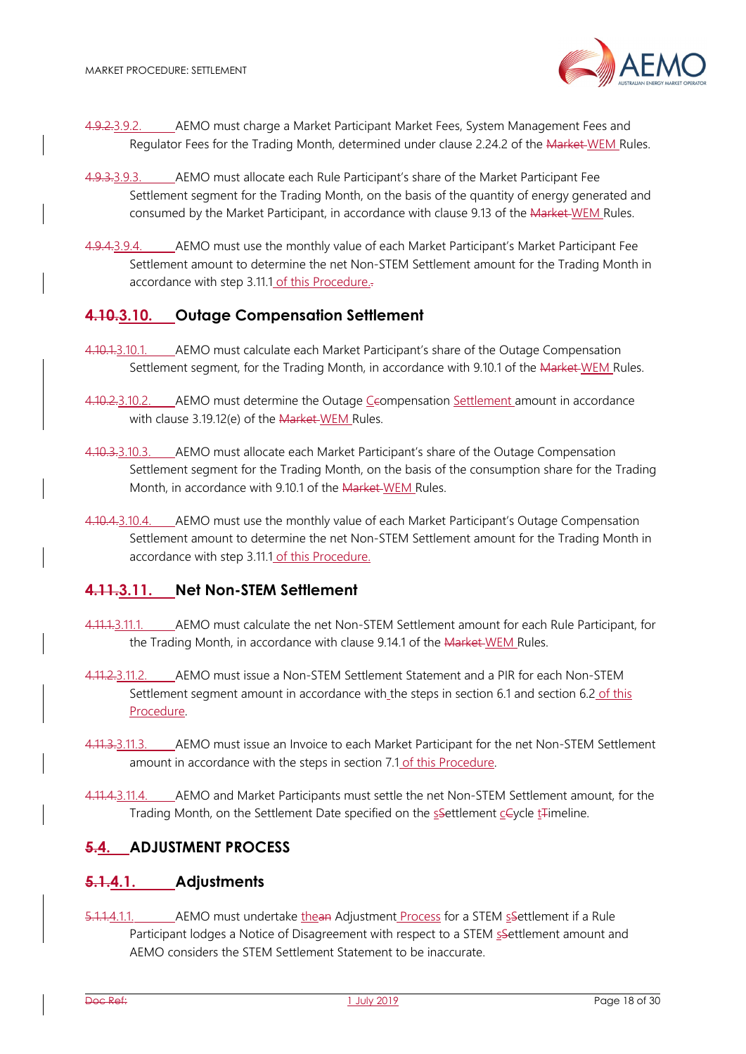

- 4.9.2.3.9.2. AEMO must charge a Market Participant Market Fees, System Management Fees and Regulator Fees for the Trading Month, determined under clause 2.24.2 of the Market-WEM Rules.
- 4.9.3.3.9.3. AEMO must allocate each Rule Participant's share of the Market Participant Fee Settlement segment for the Trading Month, on the basis of the quantity of energy generated and consumed by the Market Participant, in accordance with clause 9.13 of the Market WEM Rules.
- 4.9.4.3.9.4. AEMO must use the monthly value of each Market Participant's Market Participant Fee Settlement amount to determine the net Non-STEM Settlement amount for the Trading Month in accordance with step 3.11.1 of this Procedure..

## **4.10.3.10. Outage Compensation Settlement**

- 4.10.1.3.10.1. \_\_\_\_\_ AEMO must calculate each Market Participant's share of the Outage Compensation Settlement segment, for the Trading Month, in accordance with 9.10.1 of the Market-WEM Rules.
- 4.10.2.3.10.2. AEMO must determine the Outage Ceompensation Settlement amount in accordance with clause 3.19.12(e) of the Market-WEM Rules.
- 4.10.3.3.10.3. AEMO must allocate each Market Participant's share of the Outage Compensation Settlement segment for the Trading Month, on the basis of the consumption share for the Trading Month, in accordance with 9.10.1 of the Market WEM Rules.
- 4.10.4.3.10.4. AEMO must use the monthly value of each Market Participant's Outage Compensation Settlement amount to determine the net Non-STEM Settlement amount for the Trading Month in accordance with step 3.11.1 of this Procedure.

## **4.11.3.11. Net Non-STEM Settlement**

- 4.11.1.3.11.1. AEMO must calculate the net Non-STEM Settlement amount for each Rule Participant, for the Trading Month, in accordance with clause 9.14.1 of the Market-WEM Rules.
- 4.11.2.3.11.2. AEMO must issue a Non-STEM Settlement Statement and a PIR for each Non-STEM Settlement segment amount in accordance with the steps in section 6.1 and section 6.2 of this Procedure.
- 4.11.3.3.11.3. AEMO must issue an Invoice to each Market Participant for the net Non-STEM Settlement amount in accordance with the steps in section 7.1 of this Procedure.
- 4.11.4.3.11.4. AEMO and Market Participants must settle the net Non-STEM Settlement amount, for the Trading Month, on the Settlement Date specified on the ssettlement ceycle t<sub>rimeline</sub>.

## **5.4. ADJUSTMENT PROCESS**

#### **5.1.4.1. Adjustments**

5.1.1.4.1.1. AEMO must undertake thean Adjustment Process for a STEM sSettlement if a Rule Participant lodges a Notice of Disagreement with respect to a STEM sSettlement amount and AEMO considers the STEM Settlement Statement to be inaccurate.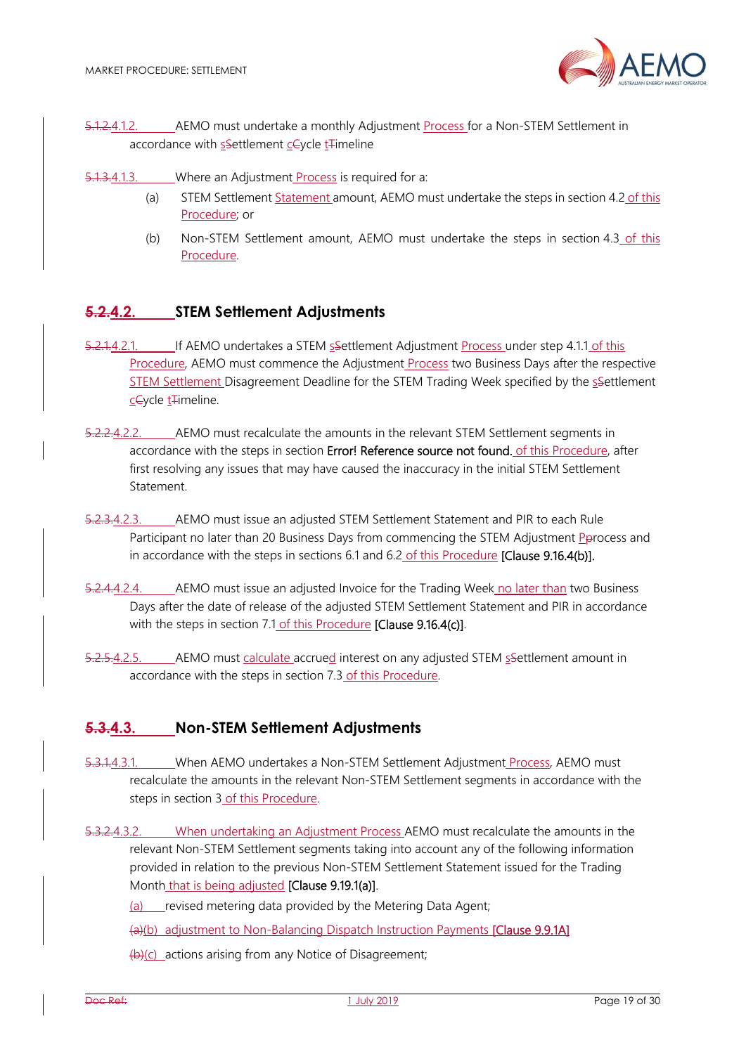

- 5.1.2.4.1.2. AEMO must undertake a monthly Adjustment Process for a Non-STEM Settlement in accordance with ssettlement ceycle t<sub>Fimeline</sub>
- 5.1.3.4.1.3. Where an Adjustment *Process* is required for a:
	- (a) STEM Settlement Statement amount, AEMO must undertake the steps in section 4.2 of this Procedure; or
	- (b) Non-STEM Settlement amount, AEMO must undertake the steps in section 4.3 of this Procedure.

#### **5.2.4.2. STEM Settlement Adjustments**

- 5.2.1.4.2.1. If AEMO undertakes a STEM sSettlement Adjustment Process under step 4.1.1 of this Procedure, AEMO must commence the Adjustment Process two Business Days after the respective STEM Settlement Disagreement Deadline for the STEM Trading Week specified by the settlement cCycle t<sub>F</sub>imeline.
- 5.2.2.4.2.2. AEMO must recalculate the amounts in the relevant STEM Settlement segments in accordance with the steps in section Error! Reference source not found. of this Procedure, after first resolving any issues that may have caused the inaccuracy in the initial STEM Settlement Statement.
- 5.2.3.4.2.3. AEMO must issue an adjusted STEM Settlement Statement and PIR to each Rule Participant no later than 20 Business Days from commencing the STEM Adjustment Pprocess and in accordance with the steps in sections 6.1 and 6.2 of this Procedure [Clause 9.16.4(b)].
- 5.2.4.4.2.4. AEMO must issue an adjusted Invoice for the Trading Week no later than two Business Days after the date of release of the adjusted STEM Settlement Statement and PIR in accordance with the steps in section 7.1 of this Procedure **[Clause 9.16.4(c)]**.
- 5.2.5.4.2.5. AEMO must calculate accrued interest on any adjusted STEM sSettlement amount in accordance with the steps in section 7.3 of this Procedure.

## **5.3.4.3. Non-STEM Settlement Adjustments**

- 5.3.1.4.3.1. When AEMO undertakes a Non-STEM Settlement Adjustment Process, AEMO must recalculate the amounts in the relevant Non-STEM Settlement segments in accordance with the steps in section 3 of this Procedure.
- 5.3.2.4.3.2. When undertaking an Adjustment Process AEMO must recalculate the amounts in the relevant Non-STEM Settlement segments taking into account any of the following information provided in relation to the previous Non-STEM Settlement Statement issued for the Trading Month that is being adjusted [Clause 9.19.1(a)].

(a) revised metering data provided by the Metering Data Agent;

(a)(b) adjustment to Non-Balancing Dispatch Instruction Payments [Clause 9.9.1A]

 $(b)(c)$  actions arising from any Notice of Disagreement;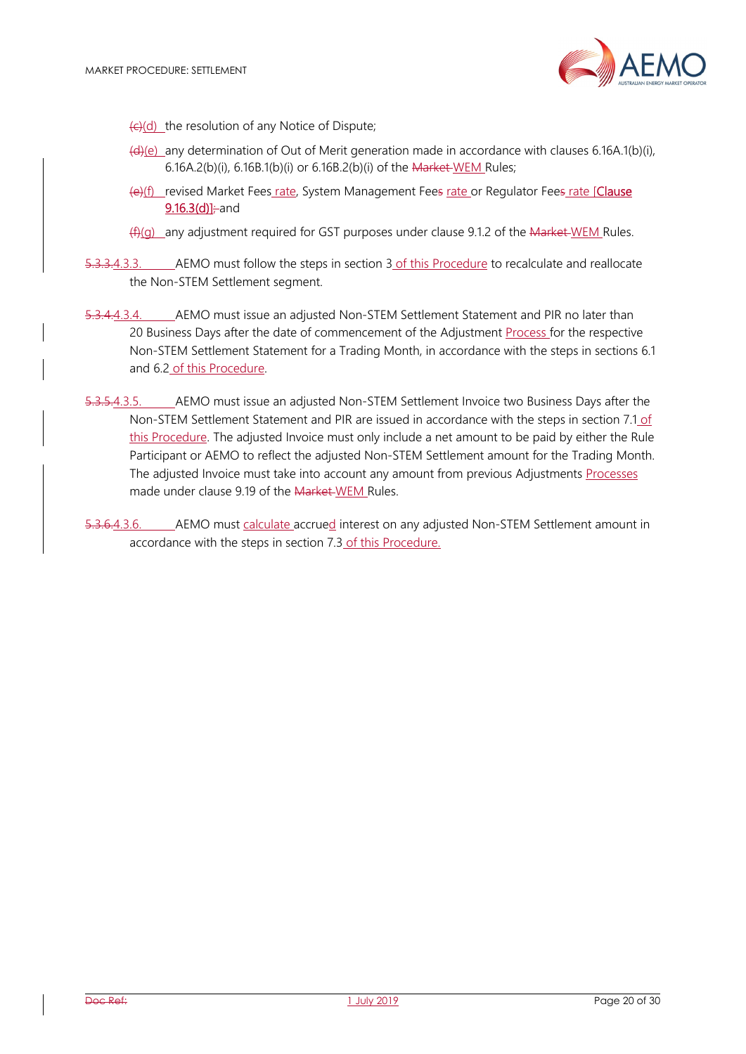

- $\left(\frac{1}{2}\right)$  the resolution of any Notice of Dispute;
- (d)(e) any determination of Out of Merit generation made in accordance with clauses 6.16A.1(b)(i), 6.16A.2(b)(i), 6.16B.1(b)(i) or 6.16B.2(b)(i) of the Market WEM Rules;
- (e)(f) revised Market Fees rate, System Management Fees rate or Regulator Fees rate [Clause  $9.16.3(d)] \div$ and
- $(f)(g)$  any adjustment required for GST purposes under clause 9.1.2 of the Market WEM Rules.
- 5.3.3.4.3.3. AEMO must follow the steps in section 3 of this Procedure to recalculate and reallocate the Non-STEM Settlement segment.
- 5.3.4.4.3.4. AEMO must issue an adjusted Non-STEM Settlement Statement and PIR no later than 20 Business Days after the date of commencement of the Adjustment Process for the respective Non-STEM Settlement Statement for a Trading Month, in accordance with the steps in sections 6.1 and 6.2 of this Procedure.
- 5.3.5.4.3.5. AEMO must issue an adjusted Non-STEM Settlement Invoice two Business Days after the Non-STEM Settlement Statement and PIR are issued in accordance with the steps in section 7.1 of this Procedure. The adjusted Invoice must only include a net amount to be paid by either the Rule Participant or AEMO to reflect the adjusted Non-STEM Settlement amount for the Trading Month. The adjusted Invoice must take into account any amount from previous Adjustments Processes made under clause 9.19 of the Market-WEM Rules.
- 5.3.6.4.3.6. AEMO must calculate accrued interest on any adjusted Non-STEM Settlement amount in accordance with the steps in section 7.3 of this Procedure.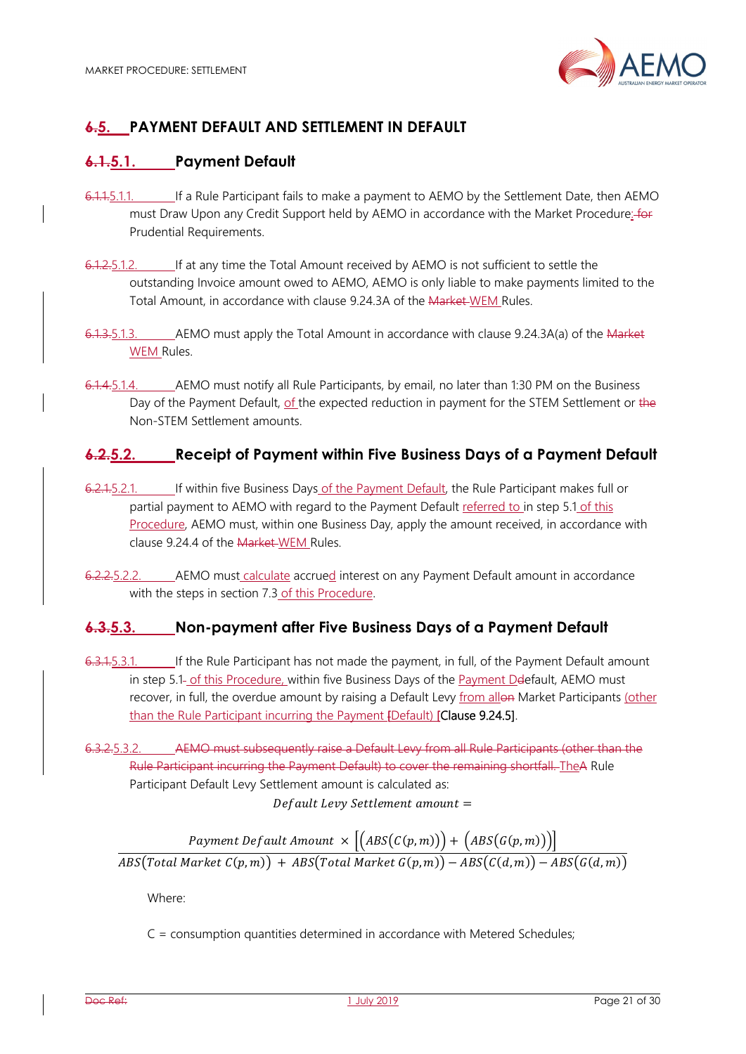

# **6.5. PAYMENT DEFAULT AND SETTLEMENT IN DEFAULT**

# **6.1.5.1. Payment Default**

- 6.1.1.5.1.1. If a Rule Participant fails to make a payment to AEMO by the Settlement Date, then AEMO must Draw Upon any Credit Support held by AEMO in accordance with the Market Procedure: for Prudential Requirements.
- 6.1.2.5.1.2. If at any time the Total Amount received by AEMO is not sufficient to settle the outstanding Invoice amount owed to AEMO, AEMO is only liable to make payments limited to the Total Amount, in accordance with clause 9.24.3A of the Market WEM Rules.
- 6.1.3.5.1.3. AEMO must apply the Total Amount in accordance with clause 9.24.3A(a) of the Market WEM Rules.
- 6.1.4.5.1.4. AEMO must notify all Rule Participants, by email, no later than 1:30 PM on the Business Day of the Payment Default, of the expected reduction in payment for the STEM Settlement or the Non-STEM Settlement amounts.

## **6.2.5.2. Receipt of Payment within Five Business Days of a Payment Default**

- 6.2.1.5.2.1. If within five Business Days of the Payment Default, the Rule Participant makes full or partial payment to AEMO with regard to the Payment Default referred to in step 5.1 of this Procedure, AEMO must, within one Business Day, apply the amount received, in accordance with clause 9.24.4 of the Market WEM Rules.
- 6.2.2.5.2.2. \_\_\_\_\_ AEMO must calculate accrued interest on any Payment Default amount in accordance with the steps in section 7.3 of this Procedure.

# **6.3.5.3. Non-payment after Five Business Days of a Payment Default**

- 6.3.1.5.3.1. If the Rule Participant has not made the payment, in full, of the Payment Default amount in step 5.1- of this Procedure, within five Business Days of the Payment Deefault, AEMO must recover, in full, the overdue amount by raising a Default Levy from allon Market Participants (other than the Rule Participant incurring the Payment [Default) [Clause 9.24.5].
- 6.3.2.5.3.2. AEMO must subsequently raise a Default Levy from all Rule Participants (other than the Rule Participant incurring the Payment Default) to cover the remaining shortfall. TheA Rule Participant Default Levy Settlement amount is calculated as: Default Levy Settlement amount =

Payment Default Amount  $\times \left[ \left( ABS(C(p,m)) \right) + \left( ABS(G(p,m)) \right) \right]$ 

 $\overline{ABS(Total\,Market\,C(p,m)) + ABS(Total\,Market\,G(p,m)) - ABS(C(d,m)) - ABS(G(d,m))}$ 

Where:

C = consumption quantities determined in accordance with Metered Schedules;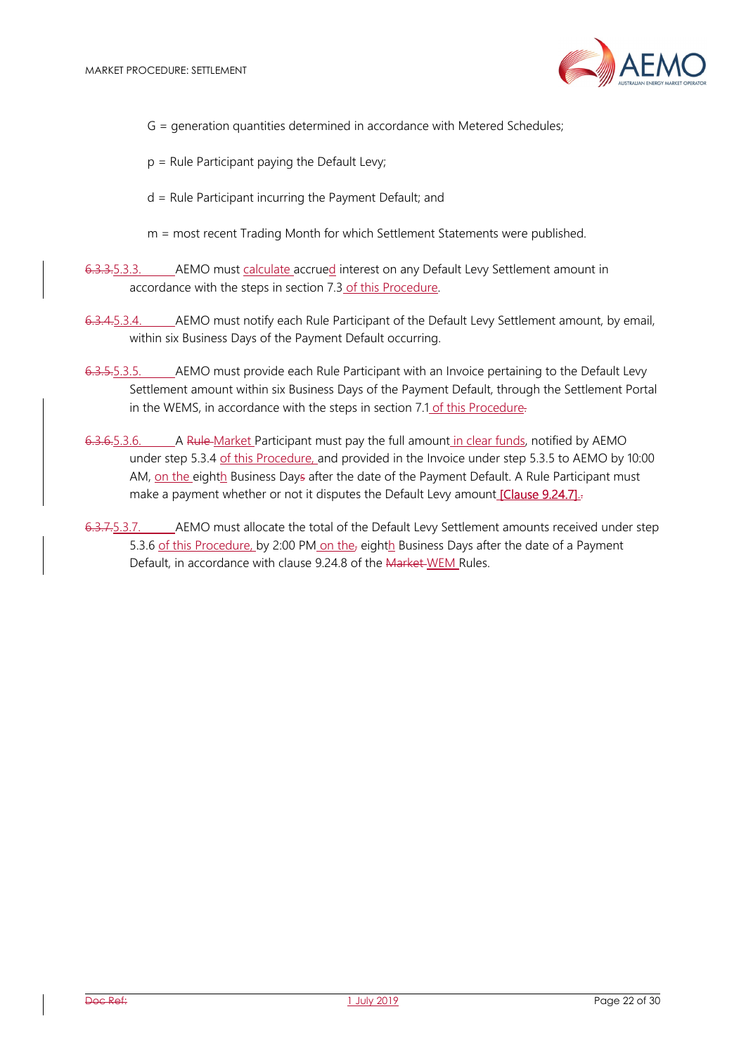

- G = generation quantities determined in accordance with Metered Schedules;
- $p =$  Rule Participant paying the Default Levy;
- d = Rule Participant incurring the Payment Default; and
- m = most recent Trading Month for which Settlement Statements were published.
- 6.3.3.5.3.3. AEMO must calculate accrued interest on any Default Levy Settlement amount in accordance with the steps in section 7.3 of this Procedure.
- 6.3.4.5.3.4. AEMO must notify each Rule Participant of the Default Levy Settlement amount, by email, within six Business Days of the Payment Default occurring.
- 6.3.5.5.3.5. AEMO must provide each Rule Participant with an Invoice pertaining to the Default Levy Settlement amount within six Business Days of the Payment Default, through the Settlement Portal in the WEMS, in accordance with the steps in section 7.1 of this Procedure.
- 6.3.6.5.3.6. A Rule Market Participant must pay the full amount in clear funds, notified by AEMO under step 5.3.4 of this Procedure, and provided in the Invoice under step 5.3.5 to AEMO by 10:00 AM, on the eighth Business Days after the date of the Payment Default. A Rule Participant must make a payment whether or not it disputes the Default Levy amount [Clause 9.24.7].
- 6.3.7.5.3.7. AEMO must allocate the total of the Default Levy Settlement amounts received under step 5.3.6 of this Procedure, by 2:00 PM on the, eighth Business Days after the date of a Payment Default, in accordance with clause 9.24.8 of the Market WEM Rules.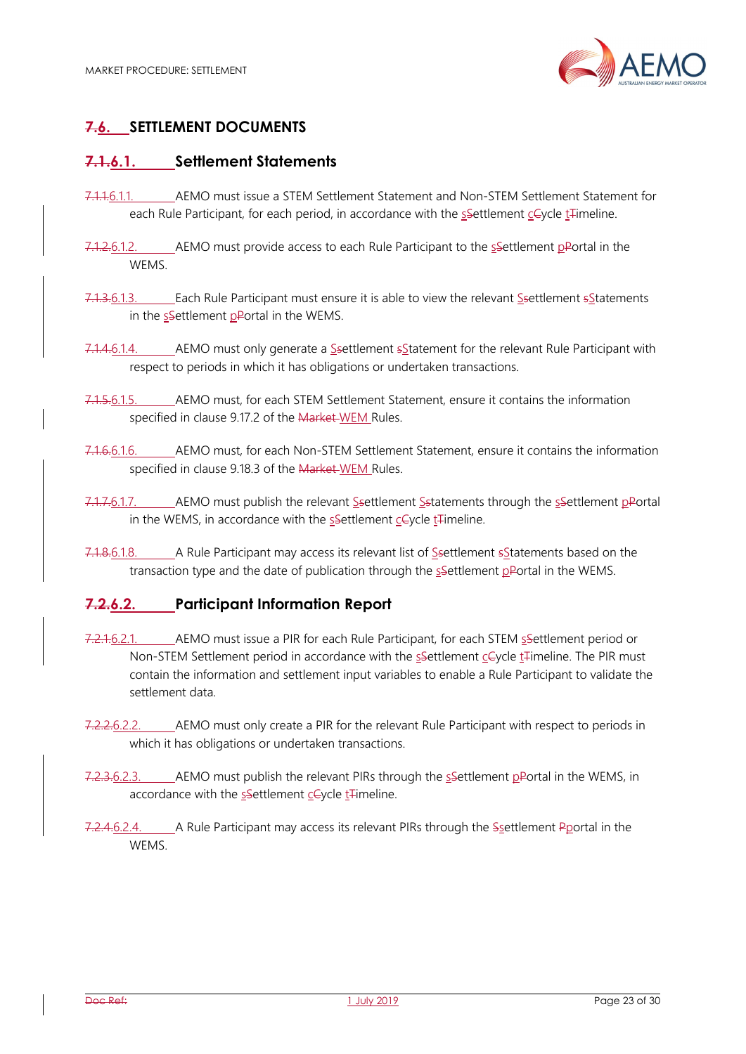

# **7.6. SETTLEMENT DOCUMENTS**

# **7.1.6.1. Settlement Statements**

- 7.1.1.6.1.1. AEMO must issue a STEM Settlement Statement and Non-STEM Settlement Statement for each Rule Participant, for each period, in accordance with the ssettlement ceycle t<sub>rimeline</sub>.
- 7.1.2.6.1.2. AEMO must provide access to each Rule Participant to the ssettlement pPortal in the WEMS.
- 7.1.3.6.1.3. Each Rule Participant must ensure it is able to view the relevant Ssettlement sStatements in the ssettlement pPortal in the WEMS.
- 7.1.4.6.1.4. AEMO must only generate a Ssettlement  $s$ Statement for the relevant Rule Participant with respect to periods in which it has obligations or undertaken transactions.
- 7.1.5.6.1.5. AEMO must, for each STEM Settlement Statement, ensure it contains the information specified in clause 9.17.2 of the Market-WEM Rules.
- 7.1.6.6.1.6. AEMO must, for each Non-STEM Settlement Statement, ensure it contains the information specified in clause 9.18.3 of the Market-WEM Rules.
- 7.1.7.6.1.7. AEMO must publish the relevant Ssettlement Sstatements through the sSettlement pPortal in the WEMS, in accordance with the ssettlement cevcle t<sub>rimeline</sub>.
- 7.1.8.6.1.8. A Rule Participant may access its relevant list of Ssettlement s Statements based on the transaction type and the date of publication through the settlement pPortal in the WEMS.

# **7.2.6.2. Participant Information Report**

- 7.2.1.6.2.1. AEMO must issue a PIR for each Rule Participant, for each STEM ssettlement period or Non-STEM Settlement period in accordance with the ssettlement cCycle t<sub>Himeline</sub>. The PIR must contain the information and settlement input variables to enable a Rule Participant to validate the settlement data.
- 7.2.2.6.2.2. AEMO must only create a PIR for the relevant Rule Participant with respect to periods in which it has obligations or undertaken transactions.
- 7.2.3.6.2.3. AEMO must publish the relevant PIRs through the ssettlement pPortal in the WEMS, in accordance with the  $s$ -Settlement  $c$ -Cycle  $t$ -Timeline.
- 7.2.4.6.2.4. A Rule Participant may access its relevant PIRs through the Ssettlement Pportal in the **WEMS**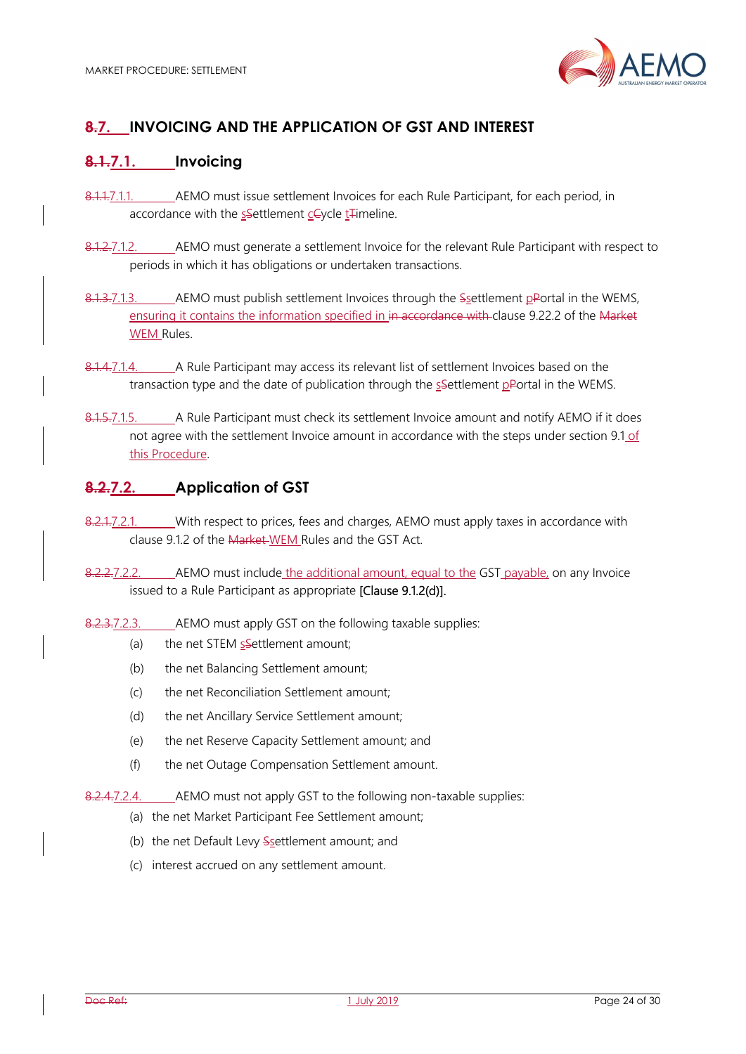

# **8.7. INVOICING AND THE APPLICATION OF GST AND INTEREST**

# **8.1.7.1. Invoicing**

- 8.1.1.7.1.1. AEMO must issue settlement Invoices for each Rule Participant, for each period, in accordance with the ssettlement cCycle t<sub>r</sub>imeline.
- 8.1.2.7.1.2. AEMO must generate a settlement Invoice for the relevant Rule Participant with respect to periods in which it has obligations or undertaken transactions.
- 8.1.3.7.1.3. AEMO must publish settlement Invoices through the Ssettlement pPortal in the WEMS, ensuring it contains the information specified in in accordance with clause 9.22.2 of the Market WEM Rules.
- 8.1.4.7.1.4. A Rule Participant may access its relevant list of settlement Invoices based on the transaction type and the date of publication through the  $s$ -Settlement p-Portal in the WEMS.
- 8.1.5.7.1.5. A Rule Participant must check its settlement Invoice amount and notify AEMO if it does not agree with the settlement Invoice amount in accordance with the steps under section 9.1 of this Procedure.

## **8.2.7.2. Application of GST**

- 8.2.1.7.2.1. With respect to prices, fees and charges, AEMO must apply taxes in accordance with clause 9.1.2 of the Market WEM Rules and the GST Act.
- 8.2.2.7.2.2. AEMO must include the additional amount, equal to the GST payable, on any Invoice issued to a Rule Participant as appropriate [Clause 9.1.2(d)].
- 8.2.3.7.2.3. AEMO must apply GST on the following taxable supplies:
	- (a) the net STEM  $s$ -Settlement amount;
	- (b) the net Balancing Settlement amount;
	- (c) the net Reconciliation Settlement amount;
	- (d) the net Ancillary Service Settlement amount;
	- (e) the net Reserve Capacity Settlement amount; and
	- (f) the net Outage Compensation Settlement amount.
- 8.2.4.7.2.4. AEMO must not apply GST to the following non-taxable supplies:
	- (a) the net Market Participant Fee Settlement amount;
	- (b) the net Default Levy Ssettlement amount; and
	- (c) interest accrued on any settlement amount.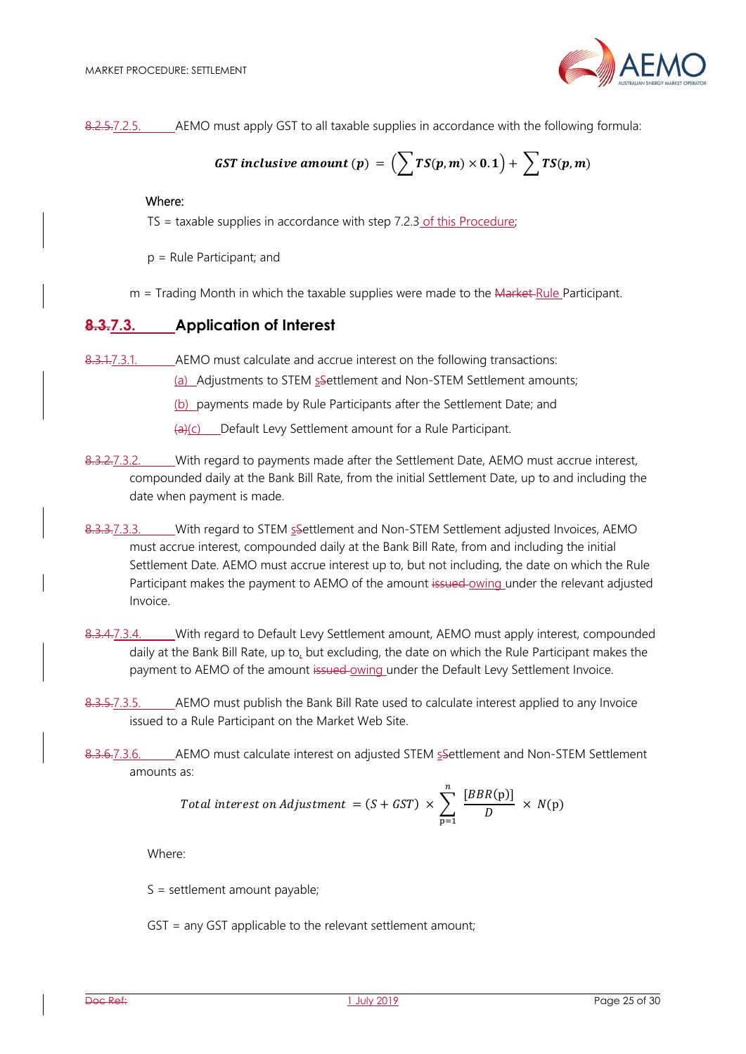

8.2.5.7.2.5. AEMO must apply GST to all taxable supplies in accordance with the following formula:

**GST** inclusive amount (p) = 
$$
(\sum TS(p,m) \times 0.1) + \sum TS(p,m)
$$

#### Where:

 $TS =$  taxable supplies in accordance with step  $7.2.3$  of this Procedure;

- p = Rule Participant; and
- $m =$  Trading Month in which the taxable supplies were made to the  $M$ arket-Rule Participant.

#### **8.3.7.3. Application of Interest**

8.3.1.7.3.1. AEMO must calculate and accrue interest on the following transactions:

(a) Adjustments to STEM ssettlement and Non-STEM Settlement amounts;

(b) payments made by Rule Participants after the Settlement Date; and

 $\frac{a}{c}$  Default Levy Settlement amount for a Rule Participant.

- 8.3.2.7.3.2. With regard to payments made after the Settlement Date, AEMO must accrue interest, compounded daily at the Bank Bill Rate, from the initial Settlement Date, up to and including the date when payment is made.
- 8.3.3.7.3.3. With regard to STEM ssettlement and Non-STEM Settlement adjusted Invoices, AEMO must accrue interest, compounded daily at the Bank Bill Rate, from and including the initial Settlement Date. AEMO must accrue interest up to, but not including, the date on which the Rule Participant makes the payment to AEMO of the amount issued owing under the relevant adjusted Invoice.
- 8.3.4.7.3.4. With regard to Default Levy Settlement amount, AEMO must apply interest, compounded daily at the Bank Bill Rate, up to, but excluding, the date on which the Rule Participant makes the payment to AEMO of the amount issued-owing under the Default Levy Settlement Invoice.
- 8.3.5.7.3.5. AEMO must publish the Bank Bill Rate used to calculate interest applied to any Invoice issued to a Rule Participant on the Market Web Site.
- 8.3.6.7.3.6. AEMO must calculate interest on adjusted STEM ssettlement and Non-STEM Settlement amounts as:

Total interest on Adjustment = 
$$
(S + GST) \times \sum_{p=1}^{n} \frac{[BBR(p)]}{D} \times N(p)
$$

Where:

S = settlement amount payable;

GST = any GST applicable to the relevant settlement amount;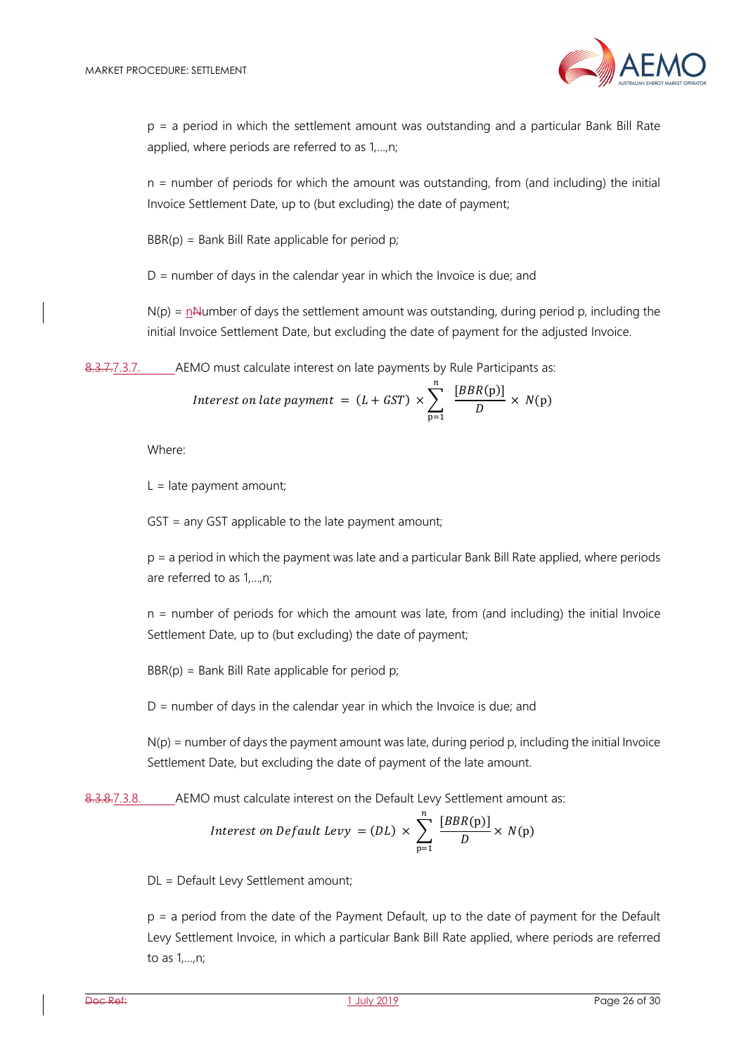

p = a period in which the settlement amount was outstanding and a particular Bank Bill Rate applied, where periods are referred to as 1,…,n;

n = number of periods for which the amount was outstanding, from (and including) the initial Invoice Settlement Date, up to (but excluding) the date of payment;

 $BBR(p) = Bank Bill Rate applicable for period p;$ 

 $D =$  number of days in the calendar year in which the Invoice is due; and

 $N(p)$  = nNumber of days the settlement amount was outstanding, during period p, including the initial Invoice Settlement Date, but excluding the date of payment for the adjusted Invoice.

8.3.7.7.3.7. AEMO must calculate interest on late payments by Rule Participants as:

Interest on late payment = 
$$
(L + GST) \times \sum_{p=1}^{n} \frac{[BBR(p)]}{D} \times N(p)
$$

Where:

 $L =$  late payment amount;

GST = any GST applicable to the late payment amount;

p = a period in which the payment was late and a particular Bank Bill Rate applied, where periods are referred to as 1,…,n;

n = number of periods for which the amount was late, from (and including) the initial Invoice Settlement Date, up to (but excluding) the date of payment;

 $BBR(p) = Bank Bill Rate applicable for period p;$ 

 $D =$  number of days in the calendar year in which the Invoice is due; and

 $N(p)$  = number of days the payment amount was late, during period p, including the initial Invoice Settlement Date, but excluding the date of payment of the late amount.

8.3.8.7.3.8. AEMO must calculate interest on the Default Levy Settlement amount as:

Interest on Default Levy = (DL) 
$$
\times \sum_{p=1}^{n} \frac{[BBR(p)]}{D} \times N(p)
$$

DL = Default Levy Settlement amount;

p = a period from the date of the Payment Default, up to the date of payment for the Default Levy Settlement Invoice, in which a particular Bank Bill Rate applied, where periods are referred to as 1,…,n;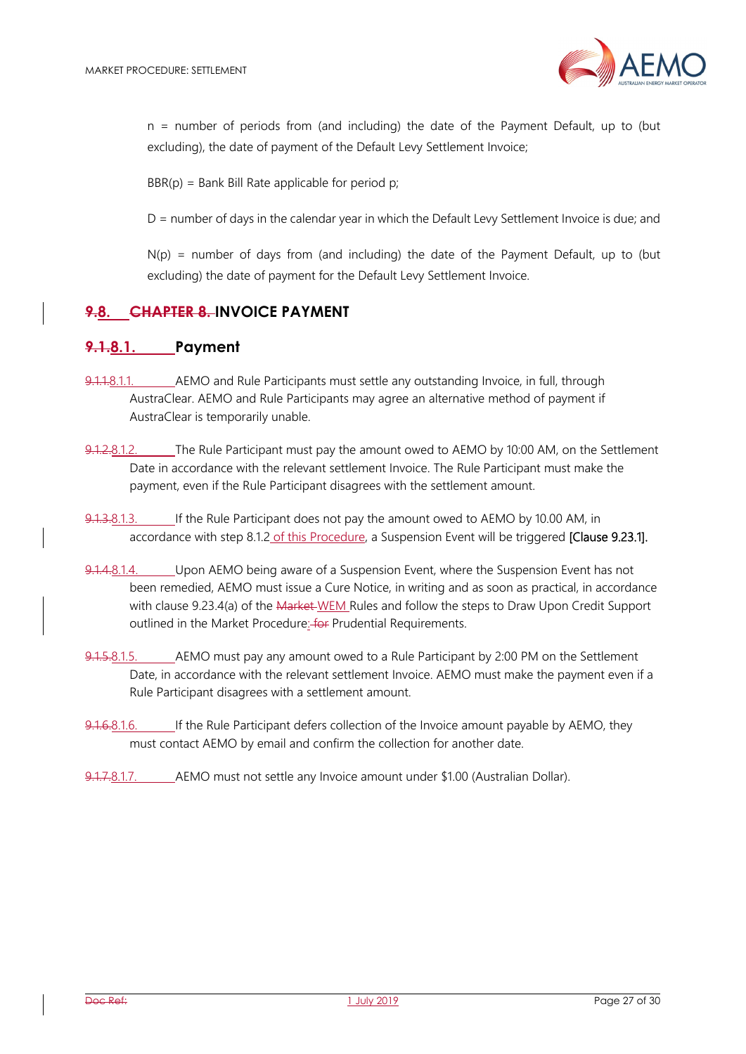

n = number of periods from (and including) the date of the Payment Default, up to (but excluding), the date of payment of the Default Levy Settlement Invoice;

 $BBR(p) = Bank Bill Rate applicable for period p;$ 

D = number of days in the calendar year in which the Default Levy Settlement Invoice is due; and

 $N(p)$  = number of days from (and including) the date of the Payment Default, up to (but excluding) the date of payment for the Default Levy Settlement Invoice.

#### **9.8. CHAPTER 8. INVOICE PAYMENT**

#### **9.1.8.1. Payment**

- 9.1.1.8.1.1. AEMO and Rule Participants must settle any outstanding Invoice, in full, through AustraClear. AEMO and Rule Participants may agree an alternative method of payment if AustraClear is temporarily unable.
- 9.1.2.8.1.2. The Rule Participant must pay the amount owed to AEMO by 10:00 AM, on the Settlement Date in accordance with the relevant settlement Invoice. The Rule Participant must make the payment, even if the Rule Participant disagrees with the settlement amount.
- 9.1.3.8.1.3. If the Rule Participant does not pay the amount owed to AEMO by 10.00 AM, in accordance with step 8.1.2 of this Procedure, a Suspension Event will be triggered [Clause 9.23.1].
- 9.1.4.8.1.4. Upon AEMO being aware of a Suspension Event, where the Suspension Event has not been remedied, AEMO must issue a Cure Notice, in writing and as soon as practical, in accordance with clause 9.23.4(a) of the Market WEM Rules and follow the steps to Draw Upon Credit Support outlined in the Market Procedure: for Prudential Requirements.
- 9.1.5.8.1.5. AEMO must pay any amount owed to a Rule Participant by 2:00 PM on the Settlement Date, in accordance with the relevant settlement Invoice. AEMO must make the payment even if a Rule Participant disagrees with a settlement amount.
- 9.1.6.8.1.6. If the Rule Participant defers collection of the Invoice amount payable by AEMO, they must contact AEMO by email and confirm the collection for another date.
- 9.1.7.8.1.7. AEMO must not settle any Invoice amount under \$1.00 (Australian Dollar).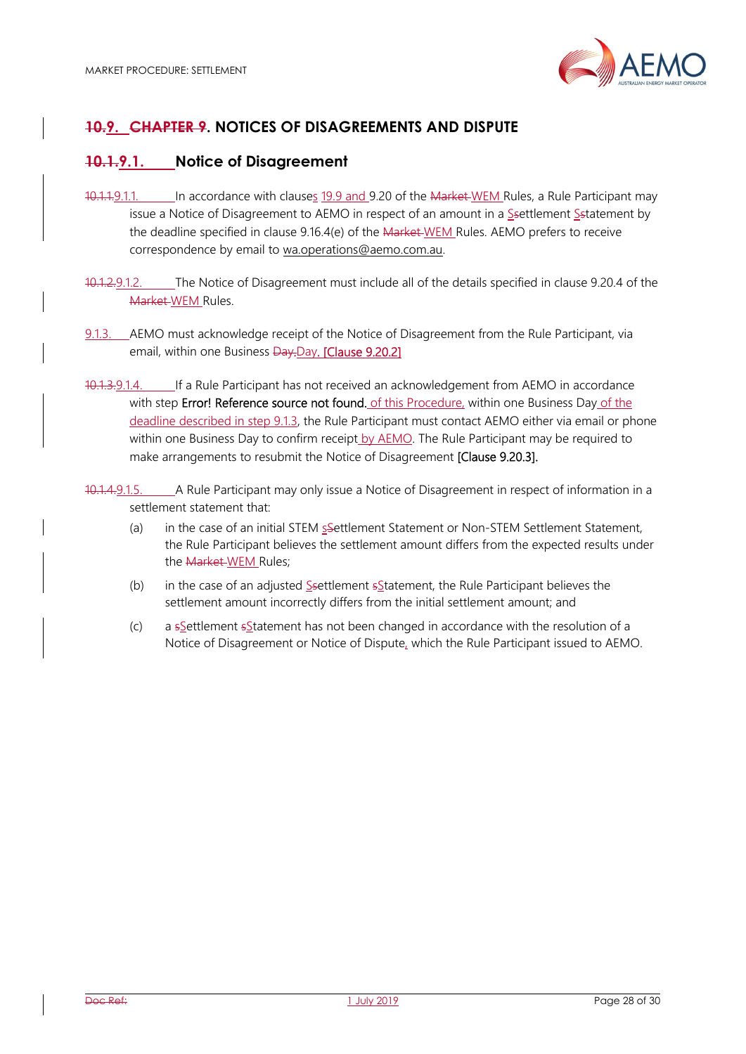

# **10.9. CHAPTER 9. NOTICES OF DISAGREEMENTS AND DISPUTE**

# **10.1.9.1. Notice of Disagreement**

- 10.1.1.9.1.1. In accordance with clauses 19.9 and 9.20 of the Market WEM Rules, a Rule Participant may issue a Notice of Disagreement to AEMO in respect of an amount in a Ssettlement Sstatement by the deadline specified in clause 9.16.4(e) of the Market WEM Rules. AEMO prefers to receive correspondence by email to wa.operations@aemo.com.au.
- 10.1.2.9.1.2. The Notice of Disagreement must include all of the details specified in clause 9.20.4 of the Market WEM Rules.
- 9.1.3. AEMO must acknowledge receipt of the Notice of Disagreement from the Rule Participant, via email, within one Business Day.Day. [Clause 9.20.2]
- 10.1.3.9.1.4. If a Rule Participant has not received an acknowledgement from AEMO in accordance with step Error! Reference source not found. of this Procedure, within one Business Day of the deadline described in step 9.1.3, the Rule Participant must contact AEMO either via email or phone within one Business Day to confirm receipt by AEMO. The Rule Participant may be required to make arrangements to resubmit the Notice of Disagreement [Clause 9.20.3].
- 10.1.4.9.1.5. A Rule Participant may only issue a Notice of Disagreement in respect of information in a settlement statement that:
	- (a) in the case of an initial STEM ssettlement Statement or Non-STEM Settlement Statement, the Rule Participant believes the settlement amount differs from the expected results under the Market WEM Rules;
	- (b) in the case of an adjusted Ssettlement sStatement, the Rule Participant believes the settlement amount incorrectly differs from the initial settlement amount; and
	- (c) a  $s$  Settlement  $s$ Statement has not been changed in accordance with the resolution of a Notice of Disagreement or Notice of Dispute, which the Rule Participant issued to AEMO.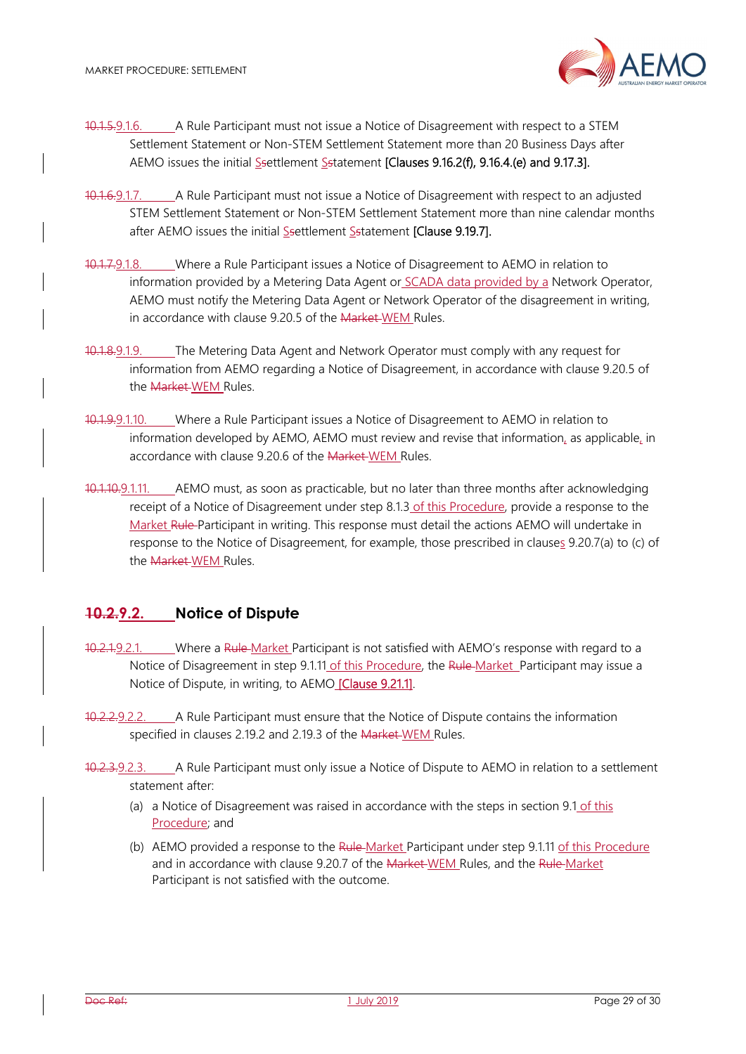

- 10.1.5.9.1.6. A Rule Participant must not issue a Notice of Disagreement with respect to a STEM Settlement Statement or Non-STEM Settlement Statement more than 20 Business Days after AEMO issues the initial Ssettlement Sstatement [Clauses 9.16.2(f), 9.16.4.(e) and 9.17.3].
- 10.1.6.9.1.7. A Rule Participant must not issue a Notice of Disagreement with respect to an adjusted STEM Settlement Statement or Non-STEM Settlement Statement more than nine calendar months after AEMO issues the initial Ssettlement Sstatement [Clause 9.19.7].
- 10.1.7.9.1.8. Where a Rule Participant issues a Notice of Disagreement to AEMO in relation to information provided by a Metering Data Agent or SCADA data provided by a Network Operator, AEMO must notify the Metering Data Agent or Network Operator of the disagreement in writing, in accordance with clause 9.20.5 of the Market WEM Rules.
- 10.1.8.9.1.9. The Metering Data Agent and Network Operator must comply with any request for information from AEMO regarding a Notice of Disagreement, in accordance with clause 9.20.5 of the Market WEM Rules.
- 10.1.9.9.1.10. Where a Rule Participant issues a Notice of Disagreement to AEMO in relation to information developed by AEMO, AEMO must review and revise that information, as applicable, in accordance with clause 9.20.6 of the Market WEM Rules.
- 10.1.10.9.1.11. AEMO must, as soon as practicable, but no later than three months after acknowledging receipt of a Notice of Disagreement under step 8.1.3 of this Procedure, provide a response to the Market Rule Participant in writing. This response must detail the actions AEMO will undertake in response to the Notice of Disagreement, for example, those prescribed in clauses 9.20.7(a) to (c) of the **Market WEM** Rules.

# **10.2.9.2. Notice of Dispute**

- 10.2.1.9.2.1. Where a Rule-Market Participant is not satisfied with AEMO's response with regard to a Notice of Disagreement in step 9.1.11 of this Procedure, the Rule Market Participant may issue a Notice of Dispute, in writing, to AEMO [Clause 9.21.1].
- 10.2.2.9.2.2. A Rule Participant must ensure that the Notice of Dispute contains the information specified in clauses 2.19.2 and 2.19.3 of the Market WEM Rules.
- 10.2.3.9.2.3. A Rule Participant must only issue a Notice of Dispute to AEMO in relation to a settlement statement after:
	- (a) a Notice of Disagreement was raised in accordance with the steps in section 9.1 of this Procedure; and
	- (b) AEMO provided a response to the Rule-Market Participant under step 9.1.11 of this Procedure and in accordance with clause 9.20.7 of the Market-WEM Rules, and the Rule-Market Participant is not satisfied with the outcome.